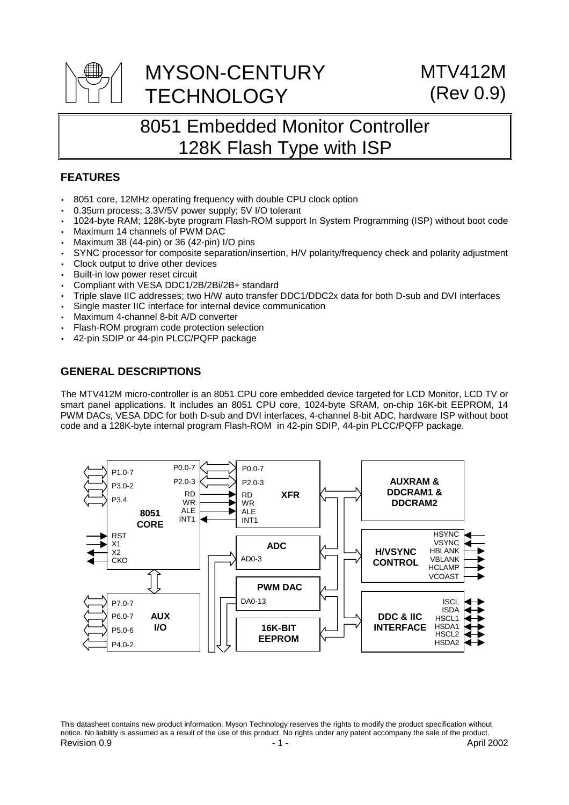

# 8051 Embedded Monitor Controller 128K Flash Type with ISP

# **FEATURES**

- 8051 core, 12MHz operating frequency with double CPU clock option
- 0.35um process; 3.3V/5V power supply; 5V I/O tolerant
- 1024-byte RAM; 128K-byte program Flash-ROM support In System Programming (ISP) without boot code
- Maximum 14 channels of PWM DAC
- Maximum 38 (44-pin) or 36 (42-pin) I/O pins
- SYNC processor for composite separation/insertion, H/V polarity/frequency check and polarity adjustment
- Clock output to drive other devices
- Built-in low power reset circuit
- Compliant with VESA DDC1/2B/2Bi/2B+ standard
- Triple slave IIC addresses; two H/W auto transfer DDC1/DDC2x data for both D-sub and DVI interfaces
- Single master IIC interface for internal device communication
- Maximum 4-channel 8-bit A/D converter
- Flash-ROM program code protection selection
- 42-pin SDIP or 44-pin PLCC/PQFP package

## **GENERAL DESCRIPTIONS**

The MTV412M micro-controller is an 8051 CPU core embedded device targeted for LCD Monitor, LCD TV or smart panel applications. It includes an 8051 CPU core, 1024-byte SRAM, on-chip 16K-bit EEPROM, 14 PWM DACs, VESA DDC for both D-sub and DVI interfaces, 4-channel 8-bit ADC, hardware ISP without boot code and a 128K-byte internal program Flash-ROM in 42-pin SDIP, 44-pin PLCC/PQFP package.



Revision 0.9 **April 2002 1.1** - April 2002 **April 2002 April 2002** This datasheet contains new product information. Myson Technology reserves the rights to modify the product specification without notice. No liability is assumed as a result of the use of this product. No rights under any patent accompany the sale of the product.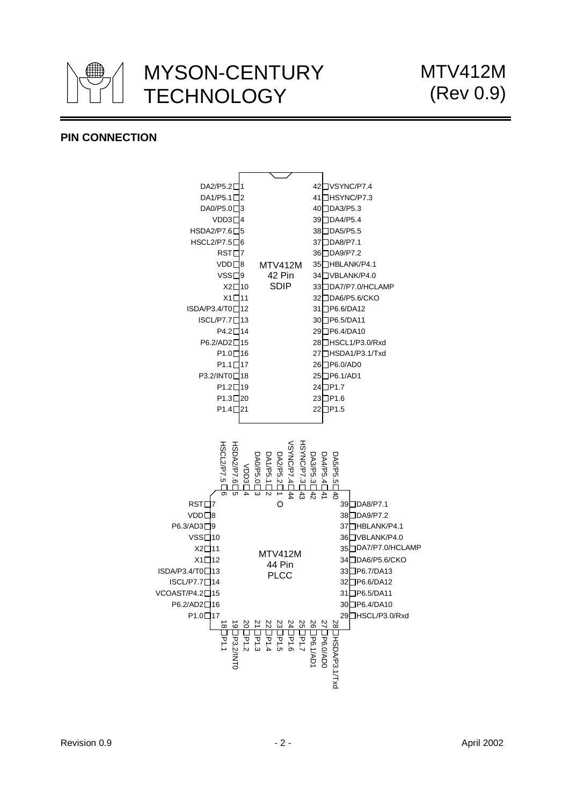

# **PIN CONNECTION**

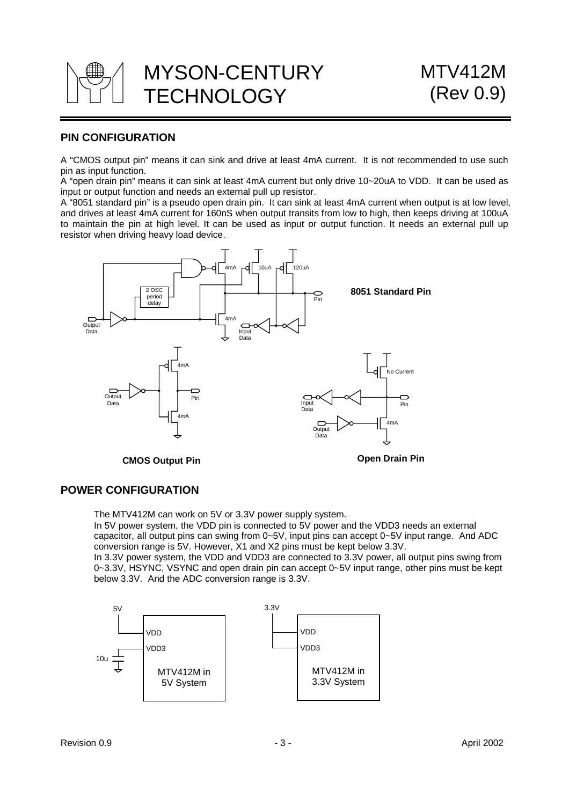

# **PIN CONFIGURATION**

A "CMOS output pin" means it can sink and drive at least 4mA current. It is not recommended to use such pin as input function.

A "open drain pin" means it can sink at least 4mA current but only drive 10~20uA to VDD. It can be used as input or output function and needs an external pull up resistor.

A "8051 standard pin" is a pseudo open drain pin. It can sink at least 4mA current when output is at low level, and drives at least 4mA current for 160nS when output transits from low to high, then keeps driving at 100uA to maintain the pin at high level. It can be used as input or output function. It needs an external pull up resistor when driving heavy load device.



## **POWER CONFIGURATION**

The MTV412M can work on 5V or 3.3V power supply system.

In 5V power system, the VDD pin is connected to 5V power and the VDD3 needs an external capacitor, all output pins can swing from 0~5V, input pins can accept 0~5V input range. And ADC conversion range is 5V. However, X1 and X2 pins must be kept below 3.3V.

In 3.3V power system, the VDD and VDD3 are connected to 3.3V power, all output pins swing from 0~3.3V, HSYNC, VSYNC and open drain pin can accept 0~5V input range, other pins must be kept below 3.3V. And the ADC conversion range is 3.3V.

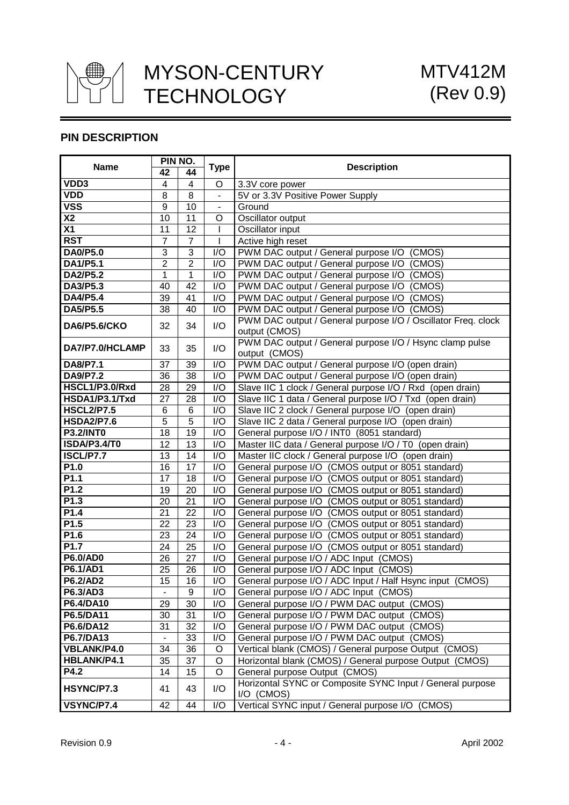

# **PIN DESCRIPTION**

| <b>Name</b>             | PIN NO.                  |                 | <b>Type</b>              | <b>Description</b>                                                      |  |  |
|-------------------------|--------------------------|-----------------|--------------------------|-------------------------------------------------------------------------|--|--|
|                         | 42                       | 44              |                          |                                                                         |  |  |
| VDD3                    | $\overline{\mathbf{4}}$  | 4               | $\circ$                  | 3.3V core power                                                         |  |  |
| <b>VDD</b>              | 8                        | $\overline{8}$  | $\overline{a}$           | 5V or 3.3V Positive Power Supply                                        |  |  |
| $\overline{\text{VSS}}$ | $\overline{9}$           | 10              | $\overline{\phantom{a}}$ | Ground                                                                  |  |  |
| $\overline{\text{X2}}$  | 10                       | 11              | O                        | Oscillator output                                                       |  |  |
| X <sub>1</sub>          | 11                       | 12              |                          | Oscillator input                                                        |  |  |
| <b>RST</b>              | $\overline{7}$           | $\overline{7}$  | ı                        | Active high reset                                                       |  |  |
| <b>DA0/P5.0</b>         | 3                        | 3               | I/O                      | PWM DAC output / General purpose I/O (CMOS)                             |  |  |
| DA1/P5.1                | $\overline{2}$           | $\overline{2}$  | I/O                      | PWM DAC output / General purpose I/O (CMOS)                             |  |  |
| DA2/P5.2                | $\mathbf{1}$             | 1               | I/O                      | PWM DAC output / General purpose I/O (CMOS)                             |  |  |
| DA3/P5.3                | 40                       | 42              | I/O                      | PWM DAC output / General purpose I/O (CMOS)                             |  |  |
| <b>DA4/P5.4</b>         | 39                       | 41              | I/O                      | PWM DAC output / General purpose I/O (CMOS)                             |  |  |
| DA5/P5.5                | 38                       | 40              | I/O                      | PWM DAC output / General purpose I/O (CMOS)                             |  |  |
|                         |                          |                 |                          | PWM DAC output / General purpose I/O / Oscillator Freq. clock           |  |  |
| DA6/P5.6/CKO            | 32                       | 34              | I/O                      | output (CMOS)                                                           |  |  |
|                         |                          |                 |                          | PWM DAC output / General purpose I/O / Hsync clamp pulse                |  |  |
| DA7/P7.0/HCLAMP         | 33                       | 35              | I/O                      | output (CMOS)                                                           |  |  |
| <b>DA8/P7.1</b>         | 37                       | 39              | I/O                      | PWM DAC output / General purpose I/O (open drain)                       |  |  |
| <b>DA9/P7.2</b>         | 36                       | 38              | I/O                      | PWM DAC output / General purpose I/O (open drain)                       |  |  |
| HSCL1/P3.0/Rxd          | 28                       | 29              | I/O                      | Slave IIC 1 clock / General purpose I/O / Rxd (open drain)              |  |  |
| HSDA1/P3.1/Txd          | 27                       | 28              | I/O                      | Slave IIC 1 data / General purpose I/O / Txd (open drain)               |  |  |
| <b>HSCL2/P7.5</b>       | 6                        | 6               | I/O                      | Slave IIC 2 clock / General purpose I/O (open drain)                    |  |  |
| <b>HSDA2/P7.6</b>       | 5                        | 5               | I/O                      | Slave IIC 2 data / General purpose I/O (open drain)                     |  |  |
| <b>P3.2/INT0</b>        | 18                       | 19              | I/O                      | General purpose I/O / INT0 (8051 standard)                              |  |  |
| ISDA/P3.4/T0            | 12                       | 13              | I/O                      | Master IIC data / General purpose I/O / T0 (open drain)                 |  |  |
| ISCL/P7.7               | 13                       | 14              | I/O                      | Master IIC clock / General purpose I/O (open drain)                     |  |  |
| P1.0                    | 16                       | 17              | I/O                      | General purpose I/O (CMOS output or 8051 standard)                      |  |  |
| P1.1                    | $\overline{17}$          | 18              | $\overline{1}/O$         | General purpose I/O (CMOS output or 8051 standard)                      |  |  |
| P1.2                    | 19                       | $\overline{20}$ | I/O                      | General purpose I/O (CMOS output or 8051 standard)                      |  |  |
| P1.3                    | 20                       | 21              | I/O                      | General purpose I/O (CMOS output or 8051 standard)                      |  |  |
| P1.4                    | 21                       | 22              | I/O                      | General purpose I/O (CMOS output or 8051 standard)                      |  |  |
| P1.5                    | 22                       | 23              | I/O                      | General purpose I/O (CMOS output or 8051 standard)                      |  |  |
| P <sub>1.6</sub>        | 23                       | 24              | I/O                      | General purpose I/O (CMOS output or 8051 standard)                      |  |  |
| P1.7                    | 24                       | 25              | I/O                      | General purpose I/O (CMOS output or 8051 standard)                      |  |  |
| <b>P6.0/AD0</b>         | 26                       | 27              | I/O                      | General purpose I/O / ADC Input (CMOS)                                  |  |  |
| <b>P6.1/AD1</b>         | $\overline{25}$          | 26              | I/O                      | General purpose I/O / ADC Input (CMOS)                                  |  |  |
| <b>P6.2/AD2</b>         | 15                       | 16              | I/O                      | General purpose I/O / ADC Input / Half Hsync input (CMOS)               |  |  |
| P6.3/AD3                | $\overline{\phantom{a}}$ | 9               | I/O                      | General purpose I/O / ADC Input (CMOS)                                  |  |  |
| P6.4/DA10               | 29                       | 30              | I/O                      | General purpose I/O / PWM DAC output (CMOS)                             |  |  |
| P6.5/DA11               | 30                       | 31              | I/O                      | General purpose I/O / PWM DAC output (CMOS)                             |  |  |
| P6.6/DA12               | 31                       | 32              | I/O                      | General purpose I/O / PWM DAC output (CMOS)                             |  |  |
| P6.7/DA13               |                          | 33              | I/O                      | General purpose I/O / PWM DAC output (CMOS)                             |  |  |
| <b>VBLANK/P4.0</b>      | 34                       | 36              | $\circ$                  | Vertical blank (CMOS) / General purpose Output (CMOS)                   |  |  |
| HBLANK/P4.1             | 35                       | 37              | $\circ$                  | Horizontal blank (CMOS) / General purpose Output (CMOS)                 |  |  |
| P4.2                    | 14                       | 15              | O                        | General purpose Output (CMOS)                                           |  |  |
| HSYNC/P7.3              | 41                       | 43              | I/O                      | Horizontal SYNC or Composite SYNC Input / General purpose<br>I/O (CMOS) |  |  |
| VSYNC/P7.4              | 42                       | 44              | I/O                      | Vertical SYNC input / General purpose I/O (CMOS)                        |  |  |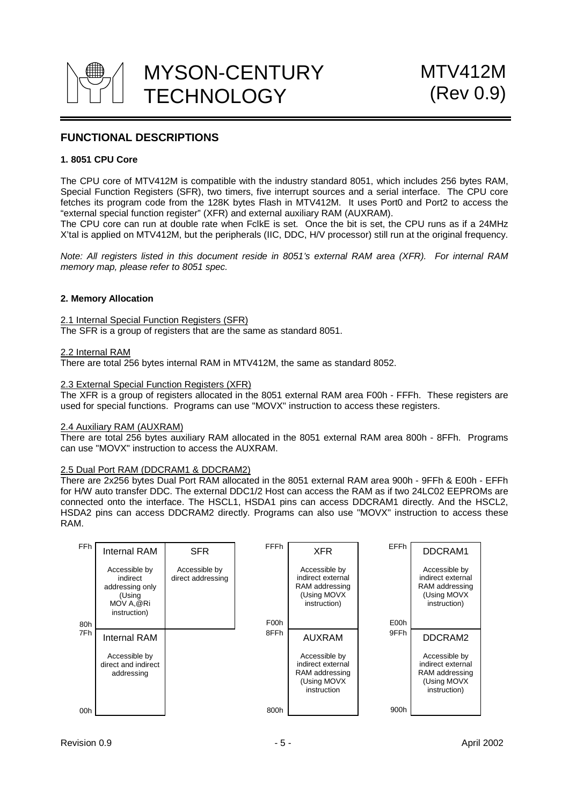

# **FUNCTIONAL DESCRIPTIONS**

### **1. 8051 CPU Core**

The CPU core of MTV412M is compatible with the industry standard 8051, which includes 256 bytes RAM, Special Function Registers (SFR), two timers, five interrupt sources and a serial interface. The CPU core fetches its program code from the 128K bytes Flash in MTV412M. It uses Port0 and Port2 to access the "external special function register" (XFR) and external auxiliary RAM (AUXRAM).

The CPU core can run at double rate when FclkE is set. Once the bit is set, the CPU runs as if a 24MHz X'tal is applied on MTV412M, but the peripherals (IIC, DDC, H/V processor) still run at the original frequency.

*Note: All registers listed in this document reside in 8051's external RAM area (XFR). For internal RAM memory map, please refer to 8051 spec.*

### **2. Memory Allocation**

2.1 Internal Special Function Registers (SFR) The SFR is a group of registers that are the same as standard 8051.

#### 2.2 Internal RAM

There are total 256 bytes internal RAM in MTV412M, the same as standard 8052.

#### 2.3 External Special Function Registers (XFR)

The XFR is a group of registers allocated in the 8051 external RAM area F00h - FFFh. These registers are used for special functions. Programs can use "MOVX" instruction to access these registers.

#### 2.4 Auxiliary RAM (AUXRAM)

There are total 256 bytes auxiliary RAM allocated in the 8051 external RAM area 800h - 8FFh. Programs can use "MOVX" instruction to access the AUXRAM.

### 2.5 Dual Port RAM (DDCRAM1 & DDCRAM2)

There are 2x256 bytes Dual Port RAM allocated in the 8051 external RAM area 900h - 9FFh & E00h - EFFh for H/W auto transfer DDC. The external DDC1/2 Host can access the RAM as if two 24LC02 EEPROMs are connected onto the interface. The HSCL1, HSDA1 pins can access DDCRAM1 directly. And the HSCL2, HSDA2 pins can access DDCRAM2 directly. Programs can also use "MOVX" instruction to access these RAM.

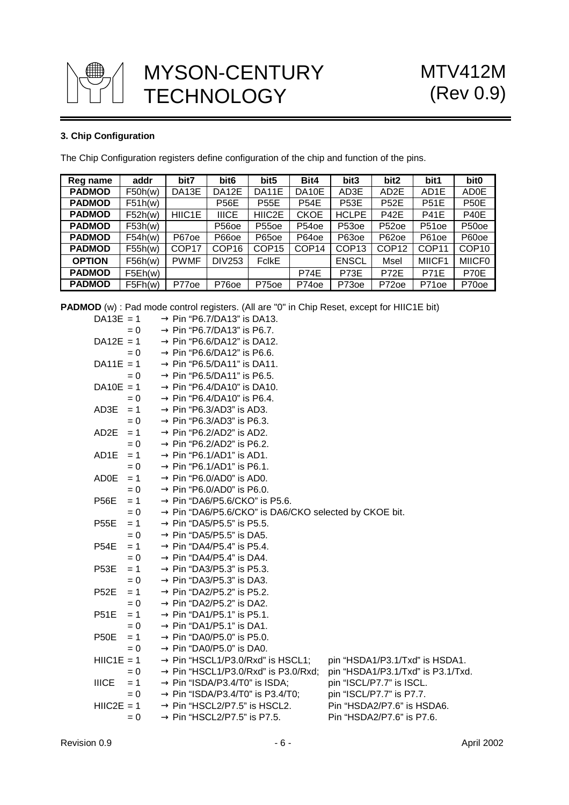

## **3. Chip Configuration**

The Chip Configuration registers define configuration of the chip and function of the pins.

| Reg name      | addr    | bit7              | bit <sub>6</sub>   | bit <sub>5</sub>  | Bit4              | bit3              | bit2              | bit1              | bit <sub>0</sub>  |
|---------------|---------|-------------------|--------------------|-------------------|-------------------|-------------------|-------------------|-------------------|-------------------|
| <b>PADMOD</b> | F50h(w) | DA13E             | DA12E              | DA11E             | DA10E             | AD3E              | AD2E              | AD1E              | <b>AD0E</b>       |
| <b>PADMOD</b> | F51h(w) |                   | P56E               | <b>P55E</b>       | <b>P54E</b>       | <b>P53E</b>       | <b>P52E</b>       | <b>P51E</b>       | <b>P50E</b>       |
| <b>PADMOD</b> | F52h(w) | HIIC1E            | <b>IIICE</b>       | HIIC2E            | <b>CKOE</b>       | <b>HCLPE</b>      | <b>P42E</b>       | <b>P41E</b>       | <b>P40E</b>       |
| <b>PADMOD</b> | F53h(w) |                   | P <sub>56</sub> oe | P <sub>55oe</sub> | P <sub>54oe</sub> | P <sub>53oe</sub> | P <sub>52oe</sub> | P51oe             | P <sub>50oe</sub> |
| <b>PADMOD</b> | F54h(w) | P67oe             | P66oe              | P65oe             | P64oe             | P63oe             | P62oe             | P61oe             | P60oe             |
| <b>PADMOD</b> | F55h(w) | COP <sub>17</sub> | COP <sub>16</sub>  | COP <sub>15</sub> | COP14             | COP <sub>13</sub> | COP <sub>12</sub> | COP <sub>11</sub> | COP <sub>10</sub> |
| <b>OPTION</b> | F56h(w) | <b>PWMF</b>       | <b>DIV253</b>      | <b>FclkE</b>      |                   | <b>ENSCL</b>      | Msel              | MIICF1            | <b>MIICF0</b>     |
| <b>PADMOD</b> | F5Eh(w) |                   |                    |                   | P74E              | P73E              | P72E              | <b>P71E</b>       | P70E              |
| <b>PADMOD</b> | F5Fh(w) | P77 <sub>oe</sub> | P760e              | P75 <sub>oe</sub> | P74oe             | P73 <sub>oe</sub> | P72 <sub>oe</sub> | P71 <sub>oe</sub> | P70oe             |

**PADMOD** (w) : Pad mode control registers. (All are "0" in Chip Reset, except for HIIC1E bit)

| $DA13E = 1$  |       | $\rightarrow$ Pin "P6.7/DA13" is DA13.                            |                                   |
|--------------|-------|-------------------------------------------------------------------|-----------------------------------|
|              | $= 0$ | $\rightarrow$ Pin "P6.7/DA13" is P6.7.                            |                                   |
| $DA12E = 1$  |       | $\rightarrow$ Pin "P6.6/DA12" is DA12.                            |                                   |
|              | $= 0$ | $\rightarrow$ Pin "P6.6/DA12" is P6.6.                            |                                   |
| $DA11E = 1$  |       | $\rightarrow$ Pin "P6.5/DA11" is DA11.                            |                                   |
|              | $= 0$ | $\rightarrow$ Pin "P6.5/DA11" is P6.5.                            |                                   |
| $DA10E = 1$  |       | $\rightarrow$ Pin "P6.4/DA10" is DA10.                            |                                   |
|              | $= 0$ | $\rightarrow$ Pin "P6.4/DA10" is P6.4.                            |                                   |
| AD3E         | $= 1$ | $\rightarrow$ Pin "P6.3/AD3" is AD3.                              |                                   |
|              | $= 0$ | $\rightarrow$ Pin "P6.3/AD3" is P6.3.                             |                                   |
| AD2E         | $= 1$ | $\rightarrow$ Pin "P6.2/AD2" is AD2.                              |                                   |
|              | $= 0$ | $\rightarrow$ Pin "P6.2/AD2" is P6.2.                             |                                   |
| AD1E         | $= 1$ | $\rightarrow$ Pin "P6.1/AD1" is AD1.                              |                                   |
|              | $= 0$ | $\rightarrow$ Pin "P6.1/AD1" is P6.1.                             |                                   |
| ADOE         | $= 1$ | $\rightarrow$ Pin "P6.0/AD0" is AD0.                              |                                   |
|              | $= 0$ | $\rightarrow$ Pin "P6.0/AD0" is P6.0.                             |                                   |
| <b>P56E</b>  | $= 1$ | $\rightarrow$ Pin "DA6/P5.6/CKO" is P5.6.                         |                                   |
|              | $= 0$ | $\rightarrow$ Pin "DA6/P5.6/CKO" is DA6/CKO selected by CKOE bit. |                                   |
| <b>P55E</b>  | $= 1$ | $\rightarrow$ Pin "DA5/P5.5" is P5.5.                             |                                   |
|              | $= 0$ | $\rightarrow$ Pin "DA5/P5.5" is DA5.                              |                                   |
| <b>P54E</b>  | $= 1$ | $\rightarrow$ Pin "DA4/P5.4" is P5.4.                             |                                   |
|              | $= 0$ | $\rightarrow$ Pin "DA4/P5.4" is DA4.                              |                                   |
| <b>P53E</b>  | $= 1$ | $\rightarrow$ Pin "DA3/P5.3" is P5.3.                             |                                   |
|              | $= 0$ | $\rightarrow$ Pin "DA3/P5.3" is DA3.                              |                                   |
| <b>P52E</b>  | $= 1$ | $\rightarrow$ Pin "DA2/P5.2" is P5.2.                             |                                   |
|              | $= 0$ | $\rightarrow$ Pin "DA2/P5.2" is DA2.                              |                                   |
| <b>P51E</b>  | $= 1$ | $\rightarrow$ Pin "DA1/P5.1" is P5.1.                             |                                   |
|              | $= 0$ | $\rightarrow$ Pin "DA1/P5.1" is DA1.                              |                                   |
| <b>P50E</b>  | $= 1$ | $\rightarrow$ Pin "DA0/P5.0" is P5.0.                             |                                   |
|              | $= 0$ | $\rightarrow$ Pin "DA0/P5.0" is DA0.                              |                                   |
| $HIC1E = 1$  |       | $\rightarrow$ Pin "HSCL1/P3.0/Rxd" is HSCL1;                      | pin "HSDA1/P3.1/Txd" is HSDA1.    |
|              | $= 0$ | $\rightarrow$ Pin "HSCL1/P3.0/Rxd" is P3.0/Rxd;                   | pin "HSDA1/P3.1/Txd" is P3.1/Txd. |
| <b>IIICE</b> | $= 1$ | $\rightarrow$ Pin "ISDA/P3.4/T0" is ISDA;                         | pin "ISCL/P7.7" is ISCL.          |
|              | $= 0$ | $\rightarrow$ Pin "ISDA/P3.4/T0" is P3.4/T0;                      | pin "ISCL/P7.7" is P7.7.          |
| $HIC2E = 1$  |       | $\rightarrow$ Pin "HSCL2/P7.5" is HSCL2.                          | Pin "HSDA2/P7.6" is HSDA6.        |
|              | $= 0$ | $\rightarrow$ Pin "HSCL2/P7.5" is P7.5.                           | Pin "HSDA2/P7.6" is P7.6.         |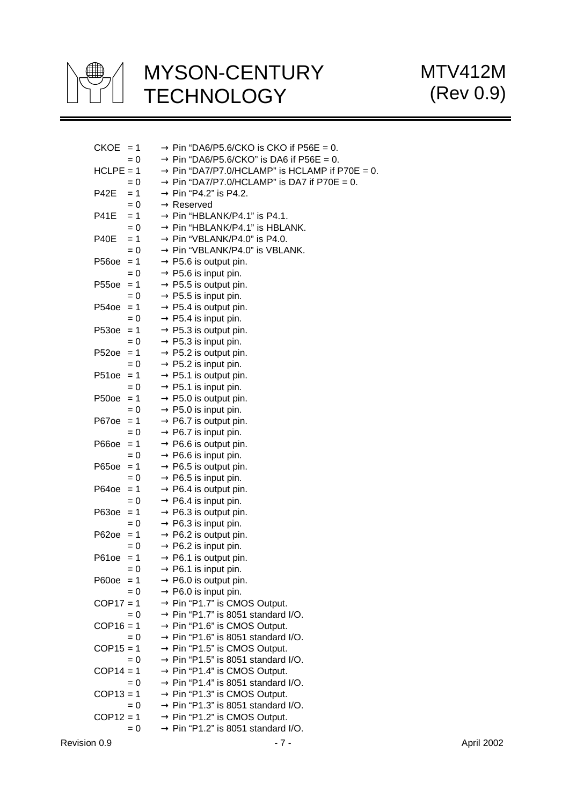

MTV412M (Rev 0.9)

| $CKOE = 1$           |       | $\rightarrow$ Pin "DA6/P5.6/CKO is CKO if P56E = 0.                                        |
|----------------------|-------|--------------------------------------------------------------------------------------------|
| $= 0$                |       | $\rightarrow$ Pin "DA6/P5.6/CKO" is DA6 if P56E = 0.                                       |
| $HCLPE = 1$          |       | $\rightarrow$ Pin "DA7/P7.0/HCLAMP" is HCLAMP if P70E = 0.                                 |
| $= 0$                |       | $\rightarrow$ Pin "DA7/P7.0/HCLAMP" is DA7 if P70E = 0.                                    |
| <b>P42E</b><br>$= 1$ |       | $\rightarrow$ Pin "P4.2" is P4.2.                                                          |
| $= 0$                |       | $\rightarrow$ Reserved                                                                     |
| <b>P41E</b><br>$= 1$ |       | $\rightarrow$ Pin "HBLANK/P4.1" is P4.1.                                                   |
| $= 0$                |       | $\rightarrow$ Pin "HBLANK/P4.1" is HBLANK.                                                 |
| <b>P40E</b><br>$= 1$ |       | $\rightarrow$ Pin "VBLANK/P4.0" is P4.0.                                                   |
| $= 0$                |       | $\rightarrow$ Pin "VBLANK/P4.0" is VBLANK.                                                 |
| $P560e = 1$          |       | $\rightarrow$ P5.6 is output pin.                                                          |
| $= 0$                |       | $\rightarrow$ P5.6 is input pin.                                                           |
| $P550e = 1$          |       | $\rightarrow$ P5.5 is output pin.                                                          |
| $= 0$                |       | $\rightarrow$ P5.5 is input pin.                                                           |
| $P540e = 1$          |       | $\rightarrow$ P5.4 is output pin.                                                          |
| $= 0$                |       | $\rightarrow$ P5.4 is input pin.                                                           |
| $P53oe = 1$          |       | $\rightarrow$ P5.3 is output pin.                                                          |
| $= 0$                |       | $\rightarrow$ P5.3 is input pin.                                                           |
| $P52oe = 1$          |       | $\rightarrow$ P5.2 is output pin.                                                          |
| $= 0$                |       | $\rightarrow$ P5.2 is input pin.                                                           |
| $P510e = 1$          |       | $\rightarrow$ P5.1 is output pin.                                                          |
| $= 0$                |       | $\rightarrow$ P5.1 is input pin.                                                           |
| $P50oe = 1$          |       | $\rightarrow$ P5.0 is output pin.                                                          |
| $= 0$                |       | $\rightarrow$ P5.0 is input pin.                                                           |
| $P670e = 1$          |       | $\rightarrow$ P6.7 is output pin.                                                          |
| $= 0$                |       | $\rightarrow$ P6.7 is input pin.                                                           |
| $P660e = 1$          |       | $\rightarrow$ P6.6 is output pin.                                                          |
| $= 0$                |       | $\rightarrow$ P6.6 is input pin.                                                           |
| $P650e = 1$          |       | $\rightarrow$ P6.5 is output pin.                                                          |
| $= 0$                |       | $\rightarrow$ P6.5 is input pin.                                                           |
| $P640e = 1$          |       | $\rightarrow$ P6.4 is output pin.                                                          |
| $= 0$                |       | $\rightarrow$ P6.4 is input pin.                                                           |
| $P63oe = 1$          |       | $\rightarrow$ P6.3 is output pin.                                                          |
| $= 0$                |       | $\rightarrow$ P6.3 is input pin.                                                           |
| $P62oe = 1$          |       | $\rightarrow$ P6.2 is output pin.                                                          |
|                      | = 0   | $\rightarrow$ P6.2 is input pin.                                                           |
| $P610e = 1$          |       | $\rightarrow$ P6.1 is output pin.                                                          |
|                      | = 0   | $\rightarrow$ P6.1 is input pin.                                                           |
| $P600e = 1$          |       | $\rightarrow$ P6.0 is output pin.                                                          |
|                      | $= 0$ | $\rightarrow$ P6.0 is input pin.                                                           |
| $COP17 = 1$          |       | $\rightarrow$ Pin "P1.7" is CMOS Output.                                                   |
| $COP16 = 1$          | $= 0$ | $\rightarrow$ Pin "P1.7" is 8051 standard I/O.                                             |
| $= 0$                |       | $\rightarrow$ Pin "P1.6" is CMOS Output.<br>$\rightarrow$ Pin "P1.6" is 8051 standard I/O. |
| $COP15 = 1$          |       | $\rightarrow$ Pin "P1.5" is CMOS Output.                                                   |
| $= 0$                |       | $\rightarrow$ Pin "P1.5" is 8051 standard I/O.                                             |
| $COP14 = 1$          |       | $\rightarrow$ Pin "P1.4" is CMOS Output.                                                   |
| $= 0$                |       | $\rightarrow$ Pin "P1.4" is 8051 standard I/O.                                             |
| $COP13 = 1$          |       | $\rightarrow$ Pin "P1.3" is CMOS Output.                                                   |
|                      | $= 0$ | $\rightarrow$ Pin "P1.3" is 8051 standard I/O.                                             |
| $COP12 = 1$          |       | $\rightarrow$ Pin "P1.2" is CMOS Output.                                                   |
| $= 0$                |       | $\rightarrow$ Pin "P1.2" is 8051 standard I/O.                                             |
|                      |       |                                                                                            |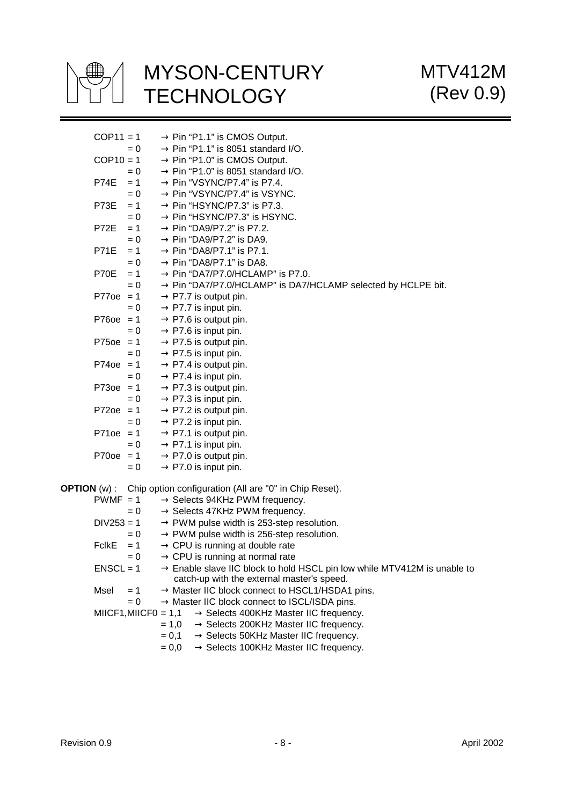

| $COP11 = 1$  |                       | $\rightarrow$ Pin "P1.1" is CMOS Output.                                             |
|--------------|-----------------------|--------------------------------------------------------------------------------------|
|              | $= 0$                 | $\rightarrow$ Pin "P1.1" is 8051 standard I/O.                                       |
| $COP10 = 1$  |                       | $\rightarrow$ Pin "P1.0" is CMOS Output.                                             |
|              | $= 0$                 | $\rightarrow$ Pin "P1.0" is 8051 standard I/O.                                       |
| P74E         | $= 1$                 | $\rightarrow$ Pin "VSYNC/P7.4" is P7.4.                                              |
|              | $= 0$                 | $\rightarrow$ Pin "VSYNC/P7.4" is VSYNC.                                             |
| P73E         | $= 1$                 | $\rightarrow$ Pin "HSYNC/P7.3" is P7.3.                                              |
|              | $= 0$                 | $\rightarrow$ Pin "HSYNC/P7.3" is HSYNC.                                             |
| <b>P72E</b>  | $= 1$                 | $\rightarrow$ Pin "DA9/P7.2" is P7.2.                                                |
|              | $= 0$                 | $\rightarrow$ Pin "DA9/P7.2" is DA9.                                                 |
| <b>P71E</b>  | $= 1$                 | $\rightarrow$ Pin "DA8/P7.1" is P7.1.                                                |
|              | $= 0$                 | $\rightarrow$ Pin "DA8/P7.1" is DA8.                                                 |
| P70E         | $= 1$                 | $\rightarrow$ Pin "DA7/P7.0/HCLAMP" is P7.0.                                         |
|              | $= 0$                 | $\rightarrow$ Pin "DA7/P7.0/HCLAMP" is DA7/HCLAMP selected by HCLPE bit.             |
| $P770e = 1$  |                       | $\rightarrow$ P7.7 is output pin.                                                    |
|              | $= 0$                 | $\rightarrow$ P7.7 is input pin.                                                     |
| $P760e = 1$  |                       | $\rightarrow$ P7.6 is output pin.                                                    |
|              | $= 0$                 | $\rightarrow$ P7.6 is input pin.                                                     |
| $P750e = 1$  |                       | $\rightarrow$ P7.5 is output pin.                                                    |
|              | $= 0$                 | $\rightarrow$ P7.5 is input pin.                                                     |
| $P740e = 1$  |                       | $\rightarrow$ P7.4 is output pin.                                                    |
|              | $= 0$                 | $\rightarrow$ P7.4 is input pin.                                                     |
| $P730e = 1$  |                       | $\rightarrow$ P7.3 is output pin.                                                    |
|              | $= 0$                 | $\rightarrow$ P7.3 is input pin.                                                     |
| $P720e = 1$  |                       | $\rightarrow$ P7.2 is output pin.                                                    |
|              | $= 0$                 | $\rightarrow$ P7.2 is input pin.                                                     |
| $P710e = 1$  |                       | $\rightarrow$ P7.1 is output pin.                                                    |
|              | $= 0$                 | $\rightarrow$ P7.1 is input pin.                                                     |
| $P700e = 1$  |                       | $\rightarrow$ P7.0 is output pin.                                                    |
|              | $= 0$                 | $\rightarrow$ P7.0 is input pin.                                                     |
|              |                       | <b>OPTION</b> (w): Chip option configuration (All are "0" in Chip Reset).            |
| $PWMF = 1$   |                       | $\rightarrow$ Selects 94KHz PWM frequency.                                           |
|              | $= 0$                 | $\rightarrow$ Selects 47KHz PWM frequency.                                           |
| $DIV253 = 1$ |                       | $\rightarrow$ PWM pulse width is 253-step resolution.                                |
|              | $= 0$                 | $\rightarrow$ PWM pulse width is 256-step resolution.                                |
| <b>FclkE</b> | $= 1$                 | $\rightarrow$ CPU is running at double rate                                          |
|              | $= 0$                 | $\rightarrow$ CPU is running at normal rate                                          |
| $ENSCL = 1$  |                       | $\rightarrow$ Enable slave IIC block to hold HSCL pin low while MTV412M is unable to |
|              |                       | catch-up with the external master's speed.                                           |
| Msel         | $= 1$                 | $\rightarrow$ Master IIC block connect to HSCL1/HSDA1 pins.                          |
|              | $= 0$                 | $\rightarrow$ Master IIC block connect to ISCL/ISDA pins.                            |
|              | $MICF1, MIICFO = 1,1$ | $\rightarrow$ Selects 400KHz Master IIC frequency.                                   |
|              |                       | $= 1,0$<br>$\rightarrow$ Selects 200KHz Master IIC frequency.                        |
|              |                       | $\rightarrow$ Selects 50KHz Master IIC frequency.<br>$= 0,1$                         |
|              |                       | $\rightarrow$ Selects 100KHz Master IIC frequency.<br>$= 0,0$                        |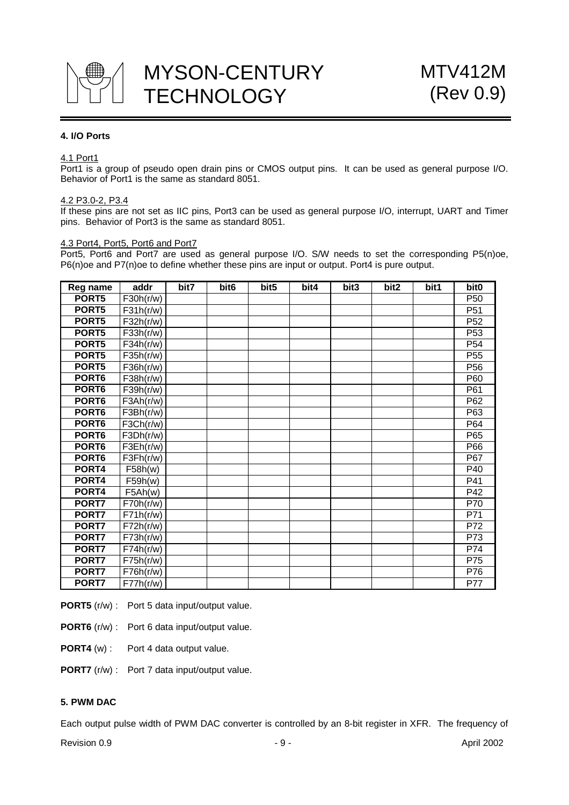

#### **4. I/O Ports**

#### 4.1 Port1

Port1 is a group of pseudo open drain pins or CMOS output pins. It can be used as general purpose I/O. Behavior of Port1 is the same as standard 8051.

#### 4.2 P3.0-2, P3.4

If these pins are not set as IIC pins, Port3 can be used as general purpose I/O, interrupt, UART and Timer pins. Behavior of Port3 is the same as standard 8051.

#### 4.3 Port4, Port5, Port6 and Port7

Port5, Port6 and Port7 are used as general purpose I/O. S/W needs to set the corresponding P5(n)oe, P6(n)oe and P7(n)oe to define whether these pins are input or output. Port4 is pure output.

| Reg name          | addr                            | bit7 | bit <sub>6</sub> | bit5 | bit4 | bit3 | bit2 | bit1 | bit <sub>0</sub> |
|-------------------|---------------------------------|------|------------------|------|------|------|------|------|------------------|
| PORT5             | F30h(r/w)                       |      |                  |      |      |      |      |      | P <sub>50</sub>  |
| PORT5             | F31h(r/w)                       |      |                  |      |      |      |      |      | P <sub>51</sub>  |
| PORT5             | F32h(r/w)                       |      |                  |      |      |      |      |      | P <sub>52</sub>  |
| PORT5             | F33h(r/w)                       |      |                  |      |      |      |      |      | P <sub>53</sub>  |
| PORT5             | F34h(r/w)                       |      |                  |      |      |      |      |      | P <sub>54</sub>  |
| PORT5             | F35h(r/w)                       |      |                  |      |      |      |      |      | P <sub>55</sub>  |
| PORT5             | F36h(r/w)                       |      |                  |      |      |      |      |      | P <sub>56</sub>  |
| PORT6             | F38h(r/w)                       |      |                  |      |      |      |      |      | P60              |
| PORT6             | F39h(r/w)                       |      |                  |      |      |      |      |      | P61              |
| PORT6             | F3Ah(r/w)                       |      |                  |      |      |      |      |      | P <sub>62</sub>  |
| PORT <sub>6</sub> | F3Bh(r/w)                       |      |                  |      |      |      |      |      | P63              |
| PORT6             | F3Ch(r/w)                       |      |                  |      |      |      |      |      | P64              |
| PORT6             | F3Dh(r/w)                       |      |                  |      |      |      |      |      | P65              |
| PORT6             | $\overline{\mathsf{F3Eh}}(r/w)$ |      |                  |      |      |      |      |      | P66              |
| PORT <sub>6</sub> | F3Fh(r/w)                       |      |                  |      |      |      |      |      | P67              |
| PORT4             | F58h(w)                         |      |                  |      |      |      |      |      | P40              |
| PORT4             | F59h(w)                         |      |                  |      |      |      |      |      | P41              |
| PORT4             | F5Ah(w)                         |      |                  |      |      |      |      |      | P42              |
| PORT7             | F70h(r/w)                       |      |                  |      |      |      |      |      | $\overline{P70}$ |
| PORT7             | F71h(r/w)                       |      |                  |      |      |      |      |      | P71              |
| PORT7             | F72h(r/w)                       |      |                  |      |      |      |      |      | P72              |
| PORT7             | F73h(r/w)                       |      |                  |      |      |      |      |      | P73              |
| PORT7             | F74h(r/w)                       |      |                  |      |      |      |      |      | P74              |
| PORT7             | F75h(r/w)                       |      |                  |      |      |      |      |      | P75              |
| PORT7             | F76h(r/w)                       |      |                  |      |      |      |      |      | P76              |
| PORT7             | F77h(r/w)                       |      |                  |      |      |      |      |      | <b>P77</b>       |

**PORT5** (r/w) : Port 5 data input/output value.

**PORT6** (r/w) : Port 6 data input/output value.

**PORT4** (w) : Port 4 data output value.

**PORT7** (r/w) : Port 7 data input/output value.

## **5. PWM DAC**

Each output pulse width of PWM DAC converter is controlled by an 8-bit register in XFR. The frequency of

Revision 0.9 **- 9 - Propose Service 2002**<br>
Revision 0.9 **- Propose Service 2002**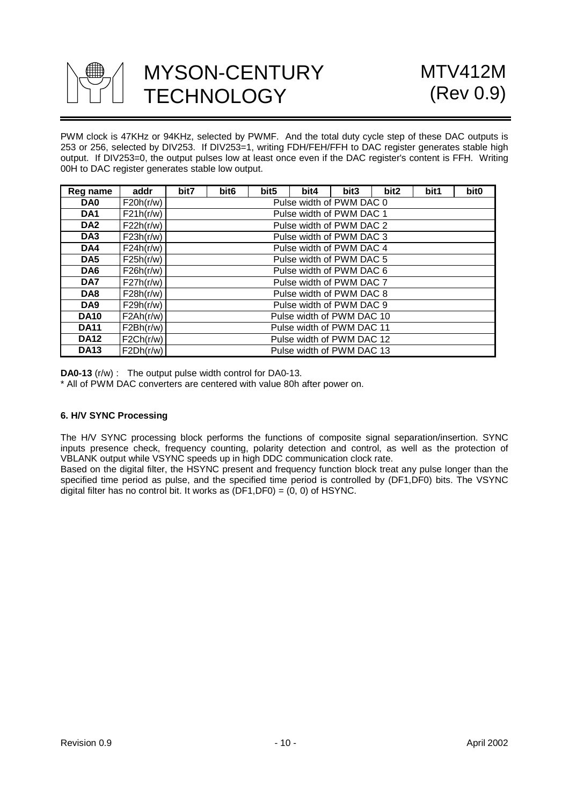

PWM clock is 47KHz or 94KHz, selected by PWMF. And the total duty cycle step of these DAC outputs is 253 or 256, selected by DIV253. If DIV253=1, writing FDH/FEH/FFH to DAC register generates stable high output. If DIV253=0, the output pulses low at least once even if the DAC register's content is FFH. Writing 00H to DAC register generates stable low output.

| Reg name        | addr      | bit7 | bit <sub>6</sub>          | bit5 | bit4                      | bit3 | bit2 | bit1 | bit <sub>0</sub> |
|-----------------|-----------|------|---------------------------|------|---------------------------|------|------|------|------------------|
| DA0             | F20h(r/w) |      |                           |      | Pulse width of PWM DAC 0  |      |      |      |                  |
| DA <sub>1</sub> | F21h(r/w) |      |                           |      | Pulse width of PWM DAC 1  |      |      |      |                  |
| DA <sub>2</sub> | F22h(r/w) |      |                           |      | Pulse width of PWM DAC 2  |      |      |      |                  |
| DA <sub>3</sub> | F23h(r/w) |      |                           |      | Pulse width of PWM DAC 3  |      |      |      |                  |
| DA4             | F24h(r/w) |      |                           |      | Pulse width of PWM DAC 4  |      |      |      |                  |
| DA <sub>5</sub> | F25h(r/w) |      |                           |      | Pulse width of PWM DAC 5  |      |      |      |                  |
| DA6             | F26h(r/w) |      |                           |      | Pulse width of PWM DAC 6  |      |      |      |                  |
| DA7             | F27h(r/w) |      |                           |      | Pulse width of PWM DAC 7  |      |      |      |                  |
| DA8             | F28h(r/w) |      | Pulse width of PWM DAC 8  |      |                           |      |      |      |                  |
| DA <sub>9</sub> | F29h(r/w) |      | Pulse width of PWM DAC 9  |      |                           |      |      |      |                  |
| <b>DA10</b>     | F2Ah(r/w) |      | Pulse width of PWM DAC 10 |      |                           |      |      |      |                  |
| <b>DA11</b>     | F2Bh(r/w) |      | Pulse width of PWM DAC 11 |      |                           |      |      |      |                  |
| <b>DA12</b>     | F2Ch(r/w) |      |                           |      | Pulse width of PWM DAC 12 |      |      |      |                  |
| <b>DA13</b>     | F2Dh(r/w) |      |                           |      | Pulse width of PWM DAC 13 |      |      |      |                  |

**DA0-13** (r/w) : The output pulse width control for DA0-13.

\* All of PWM DAC converters are centered with value 80h after power on.

### **6. H/V SYNC Processing**

The H/V SYNC processing block performs the functions of composite signal separation/insertion. SYNC inputs presence check, frequency counting, polarity detection and control, as well as the protection of VBLANK output while VSYNC speeds up in high DDC communication clock rate.

Based on the digital filter, the HSYNC present and frequency function block treat any pulse longer than the specified time period as pulse, and the specified time period is controlled by (DF1,DF0) bits. The VSYNC digital filter has no control bit. It works as  $(DF1,DF0) = (0, 0)$  of HSYNC.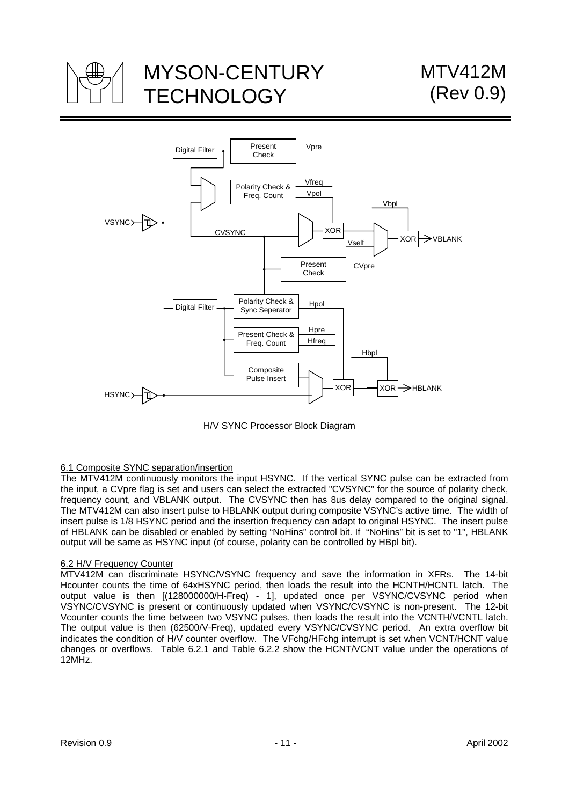



H/V SYNC Processor Block Diagram

### 6.1 Composite SYNC separation/insertion

The MTV412M continuously monitors the input HSYNC. If the vertical SYNC pulse can be extracted from the input, a CVpre flag is set and users can select the extracted "CVSYNC" for the source of polarity check, frequency count, and VBLANK output. The CVSYNC then has 8us delay compared to the original signal. The MTV412M can also insert pulse to HBLANK output during composite VSYNC's active time. The width of insert pulse is 1/8 HSYNC period and the insertion frequency can adapt to original HSYNC. The insert pulse of HBLANK can be disabled or enabled by setting "NoHins" control bit. If "NoHins" bit is set to "1", HBLANK output will be same as HSYNC input (of course, polarity can be controlled by HBpl bit).

#### 6.2 H/V Frequency Counter

MTV412M can discriminate HSYNC/VSYNC frequency and save the information in XFRs. The 14-bit Hcounter counts the time of 64xHSYNC period, then loads the result into the HCNTH/HCNTL latch. The output value is then [(128000000/H-Freq) - 1], updated once per VSYNC/CVSYNC period when VSYNC/CVSYNC is present or continuously updated when VSYNC/CVSYNC is non-present. The 12-bit Vcounter counts the time between two VSYNC pulses, then loads the result into the VCNTH/VCNTL latch. The output value is then (62500/V-Freq), updated every VSYNC/CVSYNC period. An extra overflow bit indicates the condition of H/V counter overflow. The VFchg/HFchg interrupt is set when VCNT/HCNT value changes or overflows. Table 6.2.1 and Table 6.2.2 show the HCNT/VCNT value under the operations of 12MHz.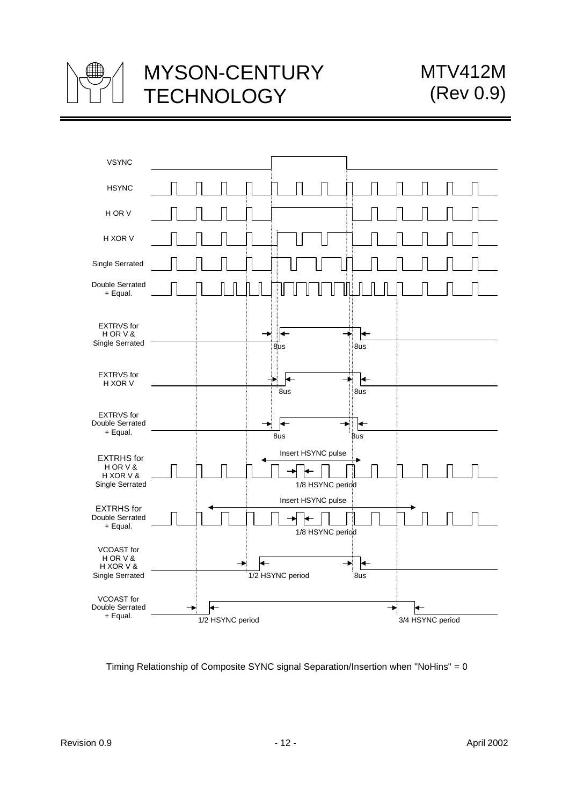



Timing Relationship of Composite SYNC signal Separation/Insertion when "NoHins" = 0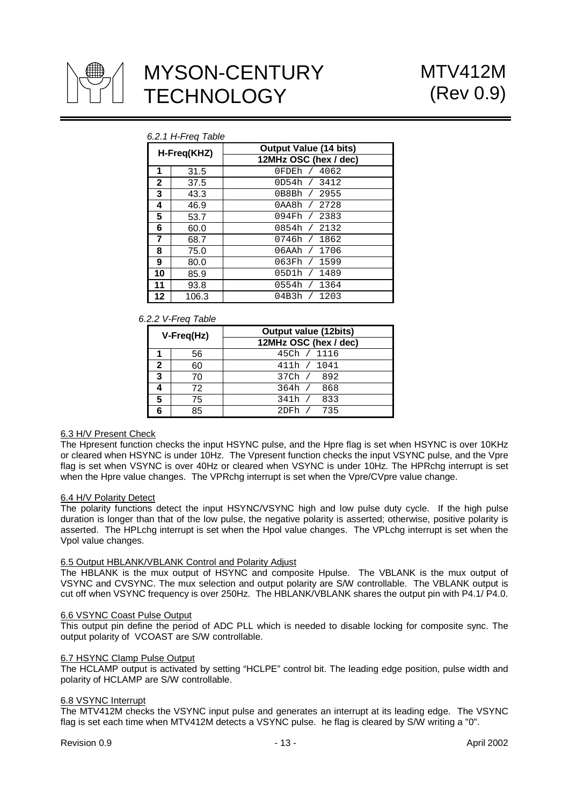

|                | b.2.1 H-Freq Table |                               |  |  |  |  |  |  |
|----------------|--------------------|-------------------------------|--|--|--|--|--|--|
|                | H-Freq(KHZ)        | <b>Output Value (14 bits)</b> |  |  |  |  |  |  |
|                |                    | 12MHz OSC (hex / dec)         |  |  |  |  |  |  |
| 1              | 31.5               | 0FDEh / 4062                  |  |  |  |  |  |  |
| $\mathbf{2}$   | 37.5               | 0D54h / 3412                  |  |  |  |  |  |  |
| 3              | 43.3               | 0B8Bh / 2955                  |  |  |  |  |  |  |
| 4              | 46.9               | 0AA8h / 2728                  |  |  |  |  |  |  |
| 5              | 53.7               | 094Fh / 2383                  |  |  |  |  |  |  |
| 6              | 60.0               | 0854h / 2132                  |  |  |  |  |  |  |
| $\overline{7}$ | 68.7               | 0746h / 1862                  |  |  |  |  |  |  |
| 8              | 75.0               | 06AAh / 1706                  |  |  |  |  |  |  |
| 9              | 80.0               | 063Fh / 1599                  |  |  |  |  |  |  |
| 10             | 85.9               | 05D1h / 1489                  |  |  |  |  |  |  |
| 11             | 93.8               | 0554h / 1364                  |  |  |  |  |  |  |
| 12             | 106.3              | 04B3h / 1203                  |  |  |  |  |  |  |

# *6.2.1 H-Freq Table*

#### *6.2.2 V-Freq Table*

| V-Freq(Hz) |    | <b>Output value (12bits)</b> |
|------------|----|------------------------------|
|            |    | 12MHz OSC (hex / dec)        |
|            | 56 | 45Ch / 1116                  |
| 2          | 60 | 411h / 1041                  |
| 3          | 70 | 37Ch / 892                   |
|            | 72 | 364h / 868                   |
| 5          | 75 | 833<br>341h /                |
| 6          | 85 | 735<br>$2DFh$ /              |

#### 6.3 H/V Present Check

The Hpresent function checks the input HSYNC pulse, and the Hpre flag is set when HSYNC is over 10KHz or cleared when HSYNC is under 10Hz. The Vpresent function checks the input VSYNC pulse, and the Vpre flag is set when VSYNC is over 40Hz or cleared when VSYNC is under 10Hz. The HPRchg interrupt is set when the Hpre value changes. The VPRchg interrupt is set when the Vpre/CVpre value change.

#### 6.4 H/V Polarity Detect

The polarity functions detect the input HSYNC/VSYNC high and low pulse duty cycle. If the high pulse duration is longer than that of the low pulse, the negative polarity is asserted; otherwise, positive polarity is asserted. The HPLchg interrupt is set when the Hpol value changes. The VPLchg interrupt is set when the Vpol value changes.

#### 6.5 Output HBLANK/VBLANK Control and Polarity Adjust

The HBLANK is the mux output of HSYNC and composite Hpulse. The VBLANK is the mux output of VSYNC and CVSYNC. The mux selection and output polarity are S/W controllable. The VBLANK output is cut off when VSYNC frequency is over 250Hz. The HBLANK/VBLANK shares the output pin with P4.1/ P4.0.

#### 6.6 VSYNC Coast Pulse Output

This output pin define the period of ADC PLL which is needed to disable locking for composite sync. The output polarity of VCOAST are S/W controllable.

#### 6.7 HSYNC Clamp Pulse Output

The HCLAMP output is activated by setting "HCLPE" control bit. The leading edge position, pulse width and polarity of HCLAMP are S/W controllable.

#### 6.8 VSYNC Interrupt

The MTV412M checks the VSYNC input pulse and generates an interrupt at its leading edge. The VSYNC flag is set each time when MTV412M detects a VSYNC pulse. he flag is cleared by S/W writing a "0".

Revision 0.9 **April 2002** - 13 - April 2002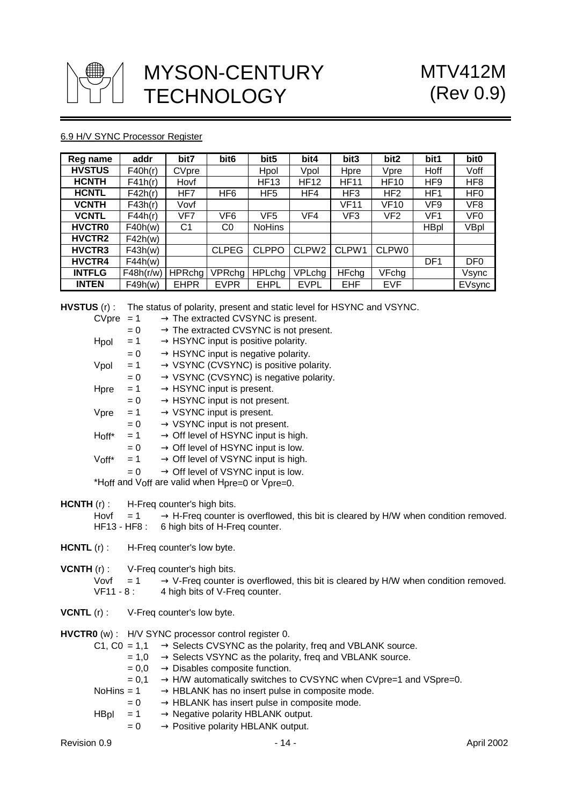

## 6.9 H/V SYNC Processor Register

| Reg name      | addr      | bit7          | bit <sub>6</sub> | bit <sub>5</sub> | bit4              | bit3            | bit2            | bit1            | bit <sub>0</sub> |
|---------------|-----------|---------------|------------------|------------------|-------------------|-----------------|-----------------|-----------------|------------------|
| <b>HVSTUS</b> | F40h(r)   | CVpre         |                  | Hpol             | Vpol              | Hpre            | Vpre            | Hoff            | Voff             |
| <b>HCNTH</b>  | F41h(r)   | Hovf          |                  | <b>HF13</b>      | <b>HF12</b>       | <b>HF11</b>     | <b>HF10</b>     | HF <sub>9</sub> | HF <sub>8</sub>  |
| <b>HCNTL</b>  | F42h(r)   | HF7           | HF <sub>6</sub>  | HF <sub>5</sub>  | HF4               | HF <sub>3</sub> | HF <sub>2</sub> | HF <sub>1</sub> | HF <sub>0</sub>  |
| <b>VCNTH</b>  | F43h(r)   | Vovf          |                  |                  |                   | <b>VF11</b>     | <b>VF10</b>     | VF <sub>9</sub> | VF8              |
| <b>VCNTL</b>  | F44h(r)   | VF7           | VF <sub>6</sub>  | VF <sub>5</sub>  | VF4               | VF3             | VF <sub>2</sub> | VF <sub>1</sub> | VF <sub>0</sub>  |
| <b>HVCTRO</b> | F40h(w)   | C1            | C0               | <b>NoHins</b>    |                   |                 |                 | <b>HBpl</b>     | VBpl             |
| HVCTR2        | F42h(w)   |               |                  |                  |                   |                 |                 |                 |                  |
| HVCTR3        | F43h(w)   |               | <b>CLPEG</b>     | <b>CLPPO</b>     | CLPW <sub>2</sub> | CLPW1           | <b>CLPW0</b>    |                 |                  |
| HVCTR4        | F44h(w)   |               |                  |                  |                   |                 |                 | DF <sub>1</sub> | DF <sub>0</sub>  |
| <b>INTFLG</b> | F48h(r/w) | <b>HPRchg</b> | <b>VPRchg</b>    | <b>HPLchg</b>    | VPLchg            | <b>HFchg</b>    | VFchg           |                 | Vsync            |
| <b>INTEN</b>  | F49h(w)   | <b>EHPR</b>   | <b>EVPR</b>      | <b>EHPL</b>      | <b>EVPL</b>       | <b>EHF</b>      | <b>EVF</b>      |                 | EVsync           |

**HVSTUS** (r) : The status of polarity, present and static level for HSYNC and VSYNC.

|       |       | $\rightarrow$ The extracted CVSYNC is present.     |
|-------|-------|----------------------------------------------------|
|       | $= 0$ | $\rightarrow$ The extracted CVSYNC is not present. |
| Hpol  | $= 1$ | $\rightarrow$ HSYNC input is positive polarity.    |
|       | $= 0$ | $\rightarrow$ HSYNC input is negative polarity.    |
| Vpol  | $= 1$ | $\rightarrow$ VSYNC (CVSYNC) is positive polarity. |
|       | $= 0$ | $\rightarrow$ VSYNC (CVSYNC) is negative polarity. |
| Hpre  | $= 1$ | $\rightarrow$ HSYNC input is present.              |
|       | $= 0$ | $\rightarrow$ HSYNC input is not present.          |
| Vpre  | $= 1$ | $\rightarrow$ VSYNC input is present.              |
|       | $= 0$ | $\rightarrow$ VSYNC input is not present.          |
| Hoff* | $= 1$ | $\rightarrow$ Off level of HSYNC input is high.    |
|       | $= 0$ | $\rightarrow$ Off level of HSYNC input is low.     |
| Voff* | $= 1$ | $\rightarrow$ Off level of VSYNC input is high.    |
|       | $= 0$ | $\rightarrow$ Off level of VSYNC input is low.     |
|       |       | *Hoff and Voff are valid when Hpre=0 or Vpre=0.    |
|       | CVpre | $= 1$                                              |

- **HCNTH** (r) : H-Freq counter's high bits.
	- Hovf  $= 1 \rightarrow H$ -Freq counter is overflowed, this bit is cleared by H/W when condition removed. HF13 - HF8 : 6 high bits of H-Freq counter.
- **HCNTL** (r) : H-Freq counter's low byte.

**VCNTH** (r) : V-Freq counter's high bits.

- Vovf = 1  $\rightarrow$  V-Freq counter is overflowed, this bit is cleared by H/W when condition removed.<br>VF11 8: 4 high bits of V-Freq counter.
	- 4 high bits of V-Freq counter.
- **VCNTL** (r) : V-Freq counter's low byte.

**HVCTR0** (w) : H/V SYNC processor control register 0.

- C1, C0 = 1,1  $\rightarrow$  Selects CVSYNC as the polarity, freq and VBLANK source.
	- $= 1,0 \rightarrow$  Selects VSYNC as the polarity, freq and VBLANK source.
	- $= 0,0 \rightarrow$  Disables composite function.

|  |  |  | $= 0.1 \rightarrow H/W$ automatically switches to CVSYNC when CVpre=1 and VSpre=0. |
|--|--|--|------------------------------------------------------------------------------------|
|--|--|--|------------------------------------------------------------------------------------|

- NoHins = 1  $\rightarrow$  HBLANK has no insert pulse in composite mode.
	- $= 0 \rightarrow$  HBLANK has insert pulse in composite mode.
- $H\text{B}_{\text{D}}$  = 1  $\rightarrow$  Negative polarity HBLANK output.
	- $= 0 \rightarrow$  Positive polarity HBLANK output.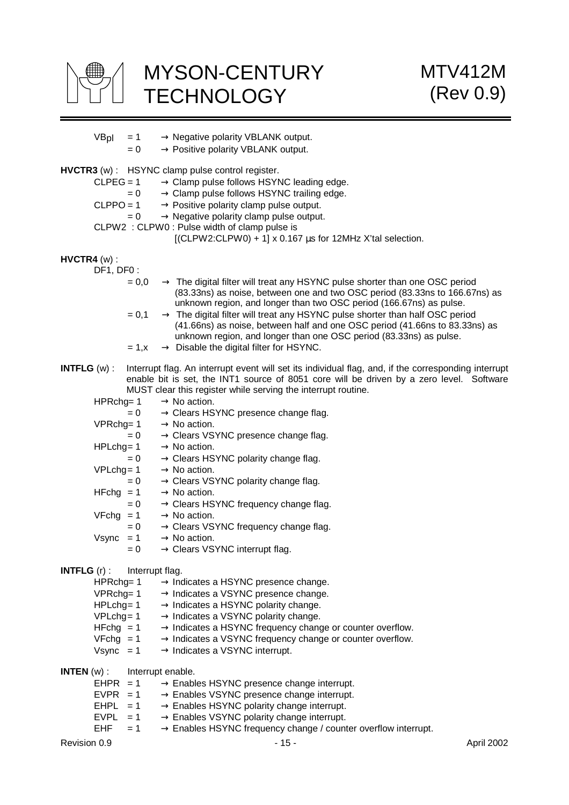

| VBpl                  | $= 1$<br>$= 0$ | $\rightarrow$ Negative polarity VBLANK output.<br>$\rightarrow$ Positive polarity VBLANK output.                                                                                                                                               |
|-----------------------|----------------|------------------------------------------------------------------------------------------------------------------------------------------------------------------------------------------------------------------------------------------------|
|                       |                | <b>HVCTR3</b> (w) : HSYNC clamp pulse control register.                                                                                                                                                                                        |
|                       | $CLPEG = 1$    | $\rightarrow$ Clamp pulse follows HSYNC leading edge.                                                                                                                                                                                          |
|                       | $= 0$          | $\rightarrow$ Clamp pulse follows HSYNC trailing edge.                                                                                                                                                                                         |
|                       | $CLPPO = 1$    | $\rightarrow$ Positive polarity clamp pulse output.                                                                                                                                                                                            |
|                       | $= 0$          | $\rightarrow$ Negative polarity clamp pulse output.                                                                                                                                                                                            |
|                       |                | CLPW2 : CLPW0 : Pulse width of clamp pulse is                                                                                                                                                                                                  |
|                       |                | [(CLPW2:CLPW0) + 1] x 0.167 µs for 12MHz X'tal selection.                                                                                                                                                                                      |
| $HVCTR4 (w)$ :        |                |                                                                                                                                                                                                                                                |
|                       | DF1, DF0:      |                                                                                                                                                                                                                                                |
|                       | $= 0,0$        | $\rightarrow$ The digital filter will treat any HSYNC pulse shorter than one OSC period<br>(83.33ns) as noise, between one and two OSC period (83.33ns to 166.67ns) as                                                                         |
|                       | $= 0,1$        | unknown region, and longer than two OSC period (166.67ns) as pulse.<br>$\rightarrow$ The digital filter will treat any HSYNC pulse shorter than half OSC period<br>(41.66ns) as noise, between half and one OSC period (41.66ns to 83.33ns) as |
|                       | $= 1, x$       | unknown region, and longer than one OSC period (83.33ns) as pulse.<br>$\rightarrow$ Disable the digital filter for HSYNC.                                                                                                                      |
| <b>INTFLG</b> $(w)$ : |                | Interrupt flag. An interrupt event will set its individual flag, and, if the corresponding interrupt                                                                                                                                           |
|                       |                | enable bit is set, the INT1 source of 8051 core will be driven by a zero level. Software<br>MUST clear this register while serving the interrupt routine.                                                                                      |
|                       | HPRchg= 1      | $\rightarrow$ No action.                                                                                                                                                                                                                       |
|                       | $= 0$          | $\rightarrow$ Clears HSYNC presence change flag.                                                                                                                                                                                               |
|                       | $VPRchg = 1$   | $\rightarrow$ No action.                                                                                                                                                                                                                       |
|                       | $= 0$          | $\rightarrow$ Clears VSYNC presence change flag.                                                                                                                                                                                               |
|                       | $HPLchg = 1$   | $\rightarrow$ No action.                                                                                                                                                                                                                       |
|                       | $= 0$          | $\rightarrow$ Clears HSYNC polarity change flag.                                                                                                                                                                                               |
|                       | $VPLchg = 1$   | $\rightarrow$ No action.                                                                                                                                                                                                                       |
|                       | $= 0$          | $\rightarrow$ Clears VSYNC polarity change flag.                                                                                                                                                                                               |
|                       | $HFchg = 1$    | $\rightarrow$ No action.                                                                                                                                                                                                                       |
|                       | $= 0$          | $\rightarrow$ Clears HSYNC frequency change flag.                                                                                                                                                                                              |
|                       | $VFchg = 1$    | $\rightarrow$ No action.                                                                                                                                                                                                                       |
|                       | $= 0$          | $\rightarrow$ Clears VSYNC frequency change flag.                                                                                                                                                                                              |
|                       | $Vsync = 1$    | $\rightarrow$ No action.                                                                                                                                                                                                                       |
|                       | $= 0$          | $\rightarrow$ Clears VSYNC interrupt flag.                                                                                                                                                                                                     |
| <b>INTFLG</b> $(r)$ : |                | Interrupt flag.                                                                                                                                                                                                                                |
|                       | HPRchg= 1      | $\rightarrow$ Indicates a HSYNC presence change.                                                                                                                                                                                               |
|                       | VPRchg= 1      | $\rightarrow$ Indicates a VSYNC presence change.                                                                                                                                                                                               |
|                       | $HPLchg = 1$   | $\rightarrow$ Indicates a HSYNC polarity change.                                                                                                                                                                                               |
|                       | $VPLchg = 1$   | $\rightarrow$ Indicates a VSYNC polarity change.                                                                                                                                                                                               |
|                       | $HFchg = 1$    | $\rightarrow$ Indicates a HSYNC frequency change or counter overflow.                                                                                                                                                                          |
|                       | $VFchg = 1$    | $\rightarrow$ Indicates a VSYNC frequency change or counter overflow.                                                                                                                                                                          |
|                       | $Vsync = 1$    | $\rightarrow$ Indicates a VSYNC interrupt.                                                                                                                                                                                                     |
| <b>INTEN</b> $(w)$ :  |                | Interrupt enable.                                                                                                                                                                                                                              |
|                       | $EHPR = 1$     | $\rightarrow$ Enables HSYNC presence change interrupt.                                                                                                                                                                                         |
|                       | $EVPR = 1$     | $\rightarrow$ Enables VSYNC presence change interrupt.                                                                                                                                                                                         |
|                       | $EHPL = 1$     | $\rightarrow$ Enables HSYNC polarity change interrupt.                                                                                                                                                                                         |
|                       | $EVPL = 1$     | $\rightarrow$ Enables VSYNC polarity change interrupt.                                                                                                                                                                                         |
| EHF                   | $= 1$          | $\rightarrow$ Enables HSYNC frequency change / counter overflow interrupt.                                                                                                                                                                     |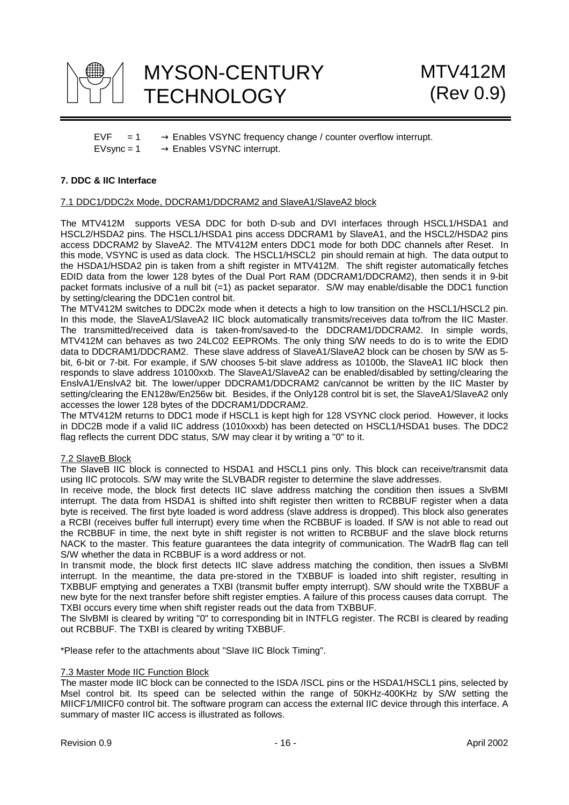

 $EVF = 1 \rightarrow$  Enables VSYNC frequency change / counter overflow interrupt.  $EVsync = 1 \rightarrow$  Enables VSYNC interrupt.

### **7. DDC & IIC Interface**

### 7.1 DDC1/DDC2x Mode, DDCRAM1/DDCRAM2 and SlaveA1/SlaveA2 block

The MTV412M supports VESA DDC for both D-sub and DVI interfaces through HSCL1/HSDA1 and HSCL2/HSDA2 pins. The HSCL1/HSDA1 pins access DDCRAM1 by SlaveA1, and the HSCL2/HSDA2 pins access DDCRAM2 by SlaveA2. The MTV412M enters DDC1 mode for both DDC channels after Reset. In this mode, VSYNC is used as data clock. The HSCL1/HSCL2 pin should remain at high. The data output to the HSDA1/HSDA2 pin is taken from a shift register in MTV412M. The shift register automatically fetches EDID data from the lower 128 bytes of the Dual Port RAM (DDCRAM1/DDCRAM2), then sends it in 9-bit packet formats inclusive of a null bit (=1) as packet separator. S/W may enable/disable the DDC1 function by setting/clearing the DDC1en control bit.

The MTV412M switches to DDC2x mode when it detects a high to low transition on the HSCL1/HSCL2 pin. In this mode, the SlaveA1/SlaveA2 IIC block automatically transmits/receives data to/from the IIC Master. The transmitted/received data is taken-from/saved-to the DDCRAM1/DDCRAM2. In simple words, MTV412M can behaves as two 24LC02 EEPROMs. The only thing S/W needs to do is to write the EDID data to DDCRAM1/DDCRAM2. These slave address of SlaveA1/SlaveA2 block can be chosen by S/W as 5 bit, 6-bit or 7-bit. For example, if S/W chooses 5-bit slave address as 10100b, the SlaveA1 IIC block then responds to slave address 10100xxb. The SlaveA1/SlaveA2 can be enabled/disabled by setting/clearing the EnslvA1/EnslvA2 bit. The lower/upper DDCRAM1/DDCRAM2 can/cannot be written by the IIC Master by setting/clearing the EN128w/En256w bit. Besides, if the Only128 control bit is set, the SlaveA1/SlaveA2 only accesses the lower 128 bytes of the DDCRAM1/DDCRAM2.

The MTV412M returns to DDC1 mode if HSCL1 is kept high for 128 VSYNC clock period. However, it locks in DDC2B mode if a valid IIC address (1010xxxb) has been detected on HSCL1/HSDA1 buses. The DDC2 flag reflects the current DDC status, S/W may clear it by writing a "0" to it.

#### 7.2 SlaveB Block

The SlaveB IIC block is connected to HSDA1 and HSCL1 pins only. This block can receive/transmit data using IIC protocols. S/W may write the SLVBADR register to determine the slave addresses.

In receive mode, the block first detects IIC slave address matching the condition then issues a SlvBMI interrupt. The data from HSDA1 is shifted into shift register then written to RCBBUF register when a data byte is received. The first byte loaded is word address (slave address is dropped). This block also generates a RCBI (receives buffer full interrupt) every time when the RCBBUF is loaded. If S/W is not able to read out the RCBBUF in time, the next byte in shift register is not written to RCBBUF and the slave block returns NACK to the master. This feature guarantees the data integrity of communication. The WadrB flag can tell S/W whether the data in RCBBUF is a word address or not.

In transmit mode, the block first detects IIC slave address matching the condition, then issues a SlvBMI interrupt. In the meantime, the data pre-stored in the TXBBUF is loaded into shift register, resulting in TXBBUF emptying and generates a TXBI (transmit buffer empty interrupt). S/W should write the TXBBUF a new byte for the next transfer before shift register empties. A failure of this process causes data corrupt. The TXBI occurs every time when shift register reads out the data from TXBBUF.

The SlvBMI is cleared by writing "0" to corresponding bit in INTFLG register. The RCBI is cleared by reading out RCBBUF. The TXBI is cleared by writing TXBBUF.

\*Please refer to the attachments about "Slave IIC Block Timing".

#### 7.3 Master Mode IIC Function Block

The master mode IIC block can be connected to the ISDA /ISCL pins or the HSDA1/HSCL1 pins, selected by Msel control bit. Its speed can be selected within the range of 50KHz-400KHz by S/W setting the MIICF1/MIICF0 control bit. The software program can access the external IIC device through this interface. A summary of master IIC access is illustrated as follows.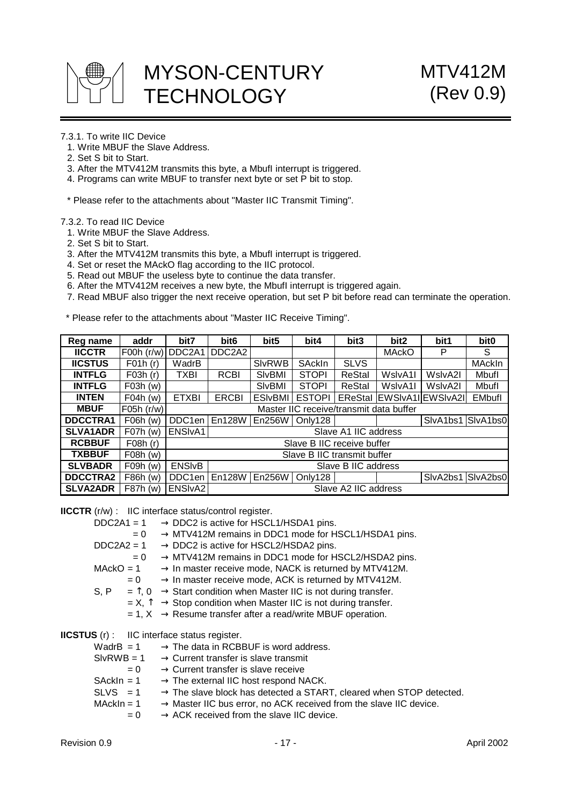

### 7.3.1. To write IIC Device

- 1. Write MBUF the Slave Address.
- 2. Set S bit to Start.
- 3. After the MTV412M transmits this byte, a MbufI interrupt is triggered.
- 4. Programs can write MBUF to transfer next byte or set P bit to stop.
- \* Please refer to the attachments about "Master IIC Transmit Timing".

7.3.2. To read IIC Device

- 1. Write MBUF the Slave Address.
- 2. Set S bit to Start.
- 3. After the MTV412M transmits this byte, a MbufI interrupt is triggered.
- 4. Set or reset the MAckO flag according to the IIC protocol.
- 5. Read out MBUF the useless byte to continue the data transfer.
- 6. After the MTV412M receives a new byte, the MbufI interrupt is triggered again.
- 7. Read MBUF also trigger the next receive operation, but set P bit before read can terminate the operation.

\* Please refer to the attachments about "Master IIC Receive Timing".

| Reg name        | addr       | bit7                            | bit <sub>6</sub> | bit <sub>5</sub>    | bit4                                    | bit3                 | bit <sub>2</sub> | bit1                      | bit <sub>0</sub> |
|-----------------|------------|---------------------------------|------------------|---------------------|-----------------------------------------|----------------------|------------------|---------------------------|------------------|
| <b>IICCTR</b>   | F00h(r/w)  | DDC <sub>2</sub> A <sub>1</sub> | DDC2A2           |                     |                                         |                      | <b>MAckO</b>     | P                         | S                |
| <b>IICSTUS</b>  | F01h(r)    | WadrB                           |                  | <b>SIvRWB</b>       | SAckIn                                  | <b>SLVS</b>          |                  |                           | MAckIn           |
| <b>INTFLG</b>   | F03h(r)    | TXBI                            | <b>RCBI</b>      | SIvBMI              | <b>STOPI</b>                            | <b>ReStal</b>        | WslvA1I          | WslvA2I                   | Mbufl            |
| <b>INTFLG</b>   | F03h(w)    |                                 |                  | SIvBMI              | <b>STOPI</b>                            | ReStal               | WslvA1I          | WslyA2I                   | Mbufl            |
| <b>INTEN</b>    | $F04h$ (w) | <b>ETXBI</b>                    | <b>ERCBI</b>     | <b>ESIvBMI</b>      | <b>ESTOPI</b>                           |                      |                  | EReStal EWSIvA1IEWSIvA2II | <b>EMbufl</b>    |
| <b>MBUF</b>     | F05h (r/w) |                                 |                  |                     | Master IIC receive/transmit data buffer |                      |                  |                           |                  |
| <b>DDCCTRA1</b> | $F06h$ (w) | DDC <sub>1en</sub>              | En128W           | En256W              | Only128                                 |                      |                  | SlvA1bs1 SlvA1bs0         |                  |
| <b>SLVA1ADR</b> | $F07h$ (w) | ENSI <sub>VA1</sub>             |                  |                     |                                         | Slave A1 IIC address |                  |                           |                  |
| <b>RCBBUF</b>   | F08h(r)    |                                 |                  |                     | Slave B IIC receive buffer              |                      |                  |                           |                  |
| <b>TXBBUF</b>   | F08h(w)    |                                 |                  |                     | Slave B IIC transmit buffer             |                      |                  |                           |                  |
| <b>SLVBADR</b>  | $F09h$ (w) | <b>ENSIVB</b>                   |                  | Slave B IIC address |                                         |                      |                  |                           |                  |
| <b>DDCCTRA2</b> | F86h (w)   | DDC <sub>1en</sub>              | En128W           | En256W              | Only128                                 |                      |                  | SlvA2bs1                  | SlvA2bs0         |
| <b>SLVA2ADR</b> | F87h (w)   | ENSIvA2                         |                  |                     |                                         | Slave A2 IIC address |                  |                           |                  |

**IICCTR** (r/w) : IIC interface status/control register.

|              | $DDC2A1 = 1$ | $\rightarrow$ DDC2 is active for HSCL1/HSDA1 pins.                                       |
|--------------|--------------|------------------------------------------------------------------------------------------|
|              | $= 0$        | $\rightarrow$ MTV412M remains in DDC1 mode for HSCL1/HSDA1 pins.                         |
| $DDC2A2 = 1$ |              | $\rightarrow$ DDC2 is active for HSCL2/HSDA2 pins.                                       |
|              | $= 0$        | $\rightarrow$ MTV412M remains in DDC1 mode for HSCL2/HSDA2 pins.                         |
| $MackO = 1$  |              | $\rightarrow$ In master receive mode, NACK is returned by MTV412M.                       |
|              | $= 0$        | $\rightarrow$ In master receive mode, ACK is returned by MTV412M.                        |
| S, P         |              | $=$ $\uparrow$ , 0 $\rightarrow$ Start condition when Master IIC is not during transfer. |
|              |              | $X = X$ , $\hat{I} \rightarrow$ Stop condition when Master IIC is not during transfer.   |
|              |              | $= 1, X \rightarrow$ Resume transfer after a read/write MBUF operation.                  |
|              |              | <b>IICSTUS</b> (r) : IIC interface status register.                                      |
|              | Wadr $B = 1$ | $\rightarrow$ The data in RCBBUF is word address.                                        |
| $SIVRWB = 1$ |              | $\rightarrow$ Current transfer is slave transmit                                         |
|              | $= 0$        | $\rightarrow$ Current transfer is slave receive                                          |
| $SackIn = 1$ |              | $\rightarrow$ The external IIC host respond NACK.                                        |
| $SLVS = 1$   |              | $\rightarrow$ The slave block has detected a START, cleared when STOP detected.          |

MAckIn =  $1 \rightarrow$  Master IIC bus error, no ACK received from the slave IIC device.

 $= 0 \rightarrow ACK$  received from the slave IIC device.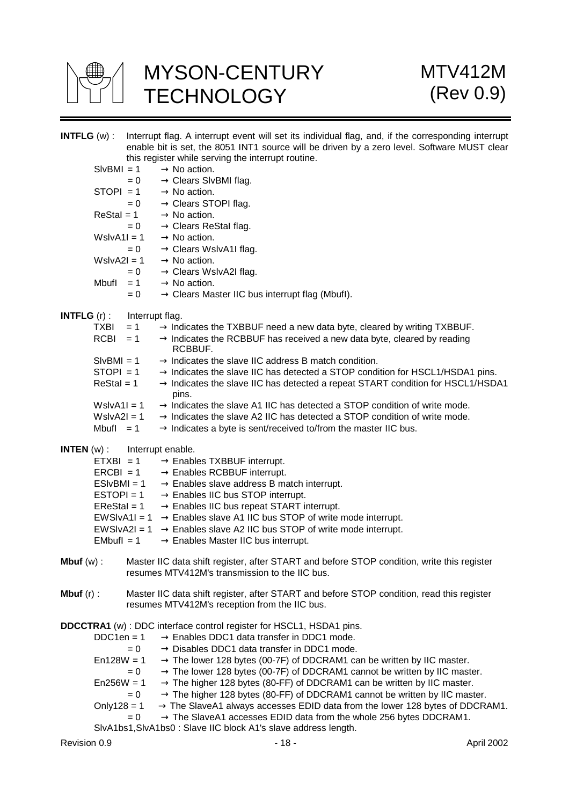

|                       |                   |                   | <b>INTFLG</b> (w) : Interrupt flag. A interrupt event will set its individual flag, and, if the corresponding interrupt                                 |
|-----------------------|-------------------|-------------------|---------------------------------------------------------------------------------------------------------------------------------------------------------|
|                       |                   |                   | enable bit is set, the 8051 INT1 source will be driven by a zero level. Software MUST clear<br>this register while serving the interrupt routine.       |
|                       | $SIVBM = 1$       |                   | $\rightarrow$ No action.                                                                                                                                |
|                       |                   |                   | $= 0 \rightarrow$ Clears SIvBMI flag.                                                                                                                   |
|                       |                   |                   | STOPI = 1 $\rightarrow$ No action.                                                                                                                      |
|                       |                   |                   | $= 0 \rightarrow$ Clears STOPI flag.                                                                                                                    |
|                       |                   | $ReStal = 1$      | $\rightarrow$ No action.                                                                                                                                |
|                       |                   | $= 0$             | $\rightarrow$ Clears ReStal flag.                                                                                                                       |
|                       |                   | $W$ slv $A1I = 1$ | $\rightarrow$ No action.                                                                                                                                |
|                       |                   | $= 0$             | $\rightarrow$ Clears WslvA1I flag.                                                                                                                      |
|                       | $W$ slvA2 $I = 1$ |                   | $\rightarrow$ No action.                                                                                                                                |
|                       |                   | $= 0$             | $\rightarrow$ Clears WslvA2I flag.                                                                                                                      |
|                       | Mbufl             | $= 1$             | $\rightarrow$ No action.                                                                                                                                |
|                       |                   | $= 0$             | $\rightarrow$ Clears Master IIC bus interrupt flag (Mbufl).                                                                                             |
|                       |                   |                   |                                                                                                                                                         |
| <b>INTFLG</b> $(r)$ : |                   | Interrupt flag.   |                                                                                                                                                         |
|                       | TXBI              | $= 1$             | $\rightarrow$ Indicates the TXBBUF need a new data byte, cleared by writing TXBBUF.                                                                     |
|                       | $RCBI = 1$        |                   | $\rightarrow$ Indicates the RCBBUF has received a new data byte, cleared by reading                                                                     |
|                       |                   |                   | RCBBUF.                                                                                                                                                 |
|                       | $SIVBM = 1$       |                   | $\rightarrow$ Indicates the slave IIC address B match condition.                                                                                        |
|                       | $STOPI = 1$       |                   | $\rightarrow$ Indicates the slave IIC has detected a STOP condition for HSCL1/HSDA1 pins.                                                               |
|                       | $ReStal = 1$      |                   | $\rightarrow$ Indicates the slave IIC has detected a repeat START condition for HSCL1/HSDA1<br>pins.                                                    |
|                       | $W$ slv $A1I = 1$ |                   | $\rightarrow$ Indicates the slave A1 IIC has detected a STOP condition of write mode.                                                                   |
|                       | $W$ slv $A2I = 1$ |                   | $\rightarrow$ Indicates the slave A2 IIC has detected a STOP condition of write mode.                                                                   |
|                       | Mbufl $= 1$       |                   | $\rightarrow$ Indicates a byte is sent/received to/from the master IIC bus.                                                                             |
| <b>INTEN</b> $(w)$ :  |                   |                   | Interrupt enable.                                                                                                                                       |
|                       |                   | $ETXBI = 1$       | $\rightarrow$ Enables TXBBUF interrupt.                                                                                                                 |
|                       |                   |                   | ERCBI = 1 $\rightarrow$ Enables RCBBUF interrupt.                                                                                                       |
|                       |                   | $ESIVBM = 1$      | $\rightarrow$ Enables slave address B match interrupt.                                                                                                  |
|                       | $ESTOPI = 1$      |                   | $\rightarrow$ Enables IIC bus STOP interrupt.                                                                                                           |
|                       | $EReStal = 1$     |                   | $\rightarrow$ Enables IIC bus repeat START interrupt.                                                                                                   |
|                       |                   |                   | EWSIvA1I = $1 \rightarrow$ Enables slave A1 IIC bus STOP of write mode interrupt.                                                                       |
|                       |                   |                   | EWSIvA2I = 1 $\rightarrow$ Enables slave A2 IIC bus STOP of write mode interrupt.                                                                       |
|                       | $EMbutI = 1$      |                   | $\rightarrow$ Enables Master IIC bus interrupt.                                                                                                         |
|                       |                   |                   |                                                                                                                                                         |
|                       |                   |                   | Mbuf (w) : Master IIC data shift register, after START and before STOP condition, write this register<br>resumes MTV412M's transmission to the IIC bus. |
|                       |                   |                   |                                                                                                                                                         |
| <b>Mbuf</b> $(r)$ :   |                   |                   | Master IIC data shift register, after START and before STOP condition, read this register                                                               |
|                       |                   |                   | resumes MTV412M's reception from the IIC bus.                                                                                                           |
|                       |                   |                   | <b>DDCCTRA1</b> (w) : DDC interface control register for HSCL1, HSDA1 pins.                                                                             |
|                       | $DDC1en = 1$      |                   | $\rightarrow$ Enables DDC1 data transfer in DDC1 mode.                                                                                                  |
|                       |                   | $= 0$             | $\rightarrow$ Disables DDC1 data transfer in DDC1 mode.                                                                                                 |
|                       | $En128W = 1$      |                   | $\rightarrow$ The lower 128 bytes (00-7F) of DDCRAM1 can be written by IIC master.                                                                      |
|                       |                   | $= 0$             | $\rightarrow$ The lower 128 bytes (00-7F) of DDCRAM1 cannot be written by IIC master.                                                                   |
|                       | $En256W = 1$      |                   | $\rightarrow$ The higher 128 bytes (80-FF) of DDCRAM1 can be written by IIC master.                                                                     |
|                       |                   | $= 0$             | $\rightarrow$ The higher 128 bytes (80-FF) of DDCRAM1 cannot be written by IIC master.                                                                  |
|                       | Only $128 = 1$    |                   | $\rightarrow$ The SlaveA1 always accesses EDID data from the lower 128 bytes of DDCRAM1.                                                                |

 $= 0 \rightarrow$  The SlaveA1 accesses EDID data from the whole 256 bytes DDCRAM1.

SlvA1bs1,SlvA1bs0 : Slave IIC block A1's slave address length.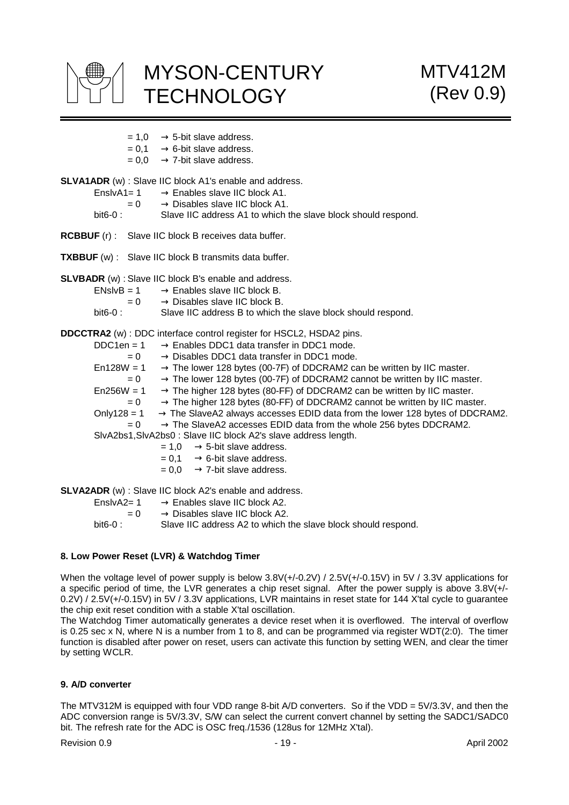

- $= 1.0 \rightarrow 5$ -bit slave address.
- $= 0.1 \rightarrow 6$ -bit slave address.
- $= 0.0 \rightarrow 7$ -bit slave address.

**SLVA1ADR** (w) : Slave IIC block A1's enable and address.

- EnslvA1=  $1 \rightarrow$  Enables slave IIC block A1.
	-
- $= 0 \rightarrow$  Disables slave IIC block A1.<br>bit6-0 : Slave IIC address A1 to which t Slave IIC address A1 to which the slave block should respond.
- **RCBBUF** (r) : Slave IIC block B receives data buffer.
- **TXBBUF** (w) : Slave IIC block B transmits data buffer.

**SLVBADR** (w) : Slave IIC block B's enable and address.

ENslvB = 1  $\rightarrow$  Enables slave IIC block B.  $= 0 \rightarrow$  Disables slave IIC block B.<br>bit6-0 Slave IIC address B to which t Slave IIC address B to which the slave block should respond.

**DDCCTRA2** (w) : DDC interface control register for HSCL2, HSDA2 pins.

| $DDC1en = 1$ | $\rightarrow$ Enables DDC1 data transfer in DDC1 mode.                                   |
|--------------|------------------------------------------------------------------------------------------|
| $= 0$        | $\rightarrow$ Disables DDC1 data transfer in DDC1 mode.                                  |
| $En128W = 1$ | $\rightarrow$ The lower 128 bytes (00-7F) of DDCRAM2 can be written by IIC master.       |
| $= 0$        | $\rightarrow$ The lower 128 bytes (00-7F) of DDCRAM2 cannot be written by IIC master.    |
| $En256W = 1$ | $\rightarrow$ The higher 128 bytes (80-FF) of DDCRAM2 can be written by IIC master.      |
| $= 0$        | $\rightarrow$ The higher 128 bytes (80-FF) of DDCRAM2 cannot be written by IIC master.   |
| Only128 = 1  | $\rightarrow$ The SlaveA2 always accesses EDID data from the lower 128 bytes of DDCRAM2. |
| $= 0$        | $\rightarrow$ The SlaveA2 accesses EDID data from the whole 256 bytes DDCRAM2.           |
|              | SIvA2bs1, SIvA2bs0: Slave IIC block A2's slave address length.                           |
|              | $= 1.0 \rightarrow 5$ -bit slave address.                                                |
|              | $= 0.1 \rightarrow 6$ -bit slave address.                                                |
|              | $= 0.0 \rightarrow 7$ -bit slave address.                                                |
|              |                                                                                          |

**SLVA2ADR** (w) : Slave IIC block A2's enable and address.

| $EnslvA2 = 1$ | $\rightarrow$ Enables slave IIC block A2.                     |
|---------------|---------------------------------------------------------------|
| $= 0$         | $\rightarrow$ Disables slave IIC block A2.                    |
| bit6-0 : .    | Slave IIC address A2 to which the slave block should respond. |

#### **8. Low Power Reset (LVR) & Watchdog Timer**

When the voltage level of power supply is below 3.8V(+/-0.2V) / 2.5V(+/-0.15V) in 5V / 3.3V applications for a specific period of time, the LVR generates a chip reset signal. After the power supply is above 3.8V(+/- 0.2V) / 2.5V(+/-0.15V) in 5V / 3.3V applications, LVR maintains in reset state for 144 X'tal cycle to guarantee the chip exit reset condition with a stable X'tal oscillation.

The Watchdog Timer automatically generates a device reset when it is overflowed. The interval of overflow is 0.25 sec x N, where N is a number from 1 to 8, and can be programmed via register WDT(2:0). The timer function is disabled after power on reset, users can activate this function by setting WEN, and clear the timer by setting WCLR.

#### **9. A/D converter**

The MTV312M is equipped with four VDD range 8-bit A/D converters. So if the VDD = 5V/3.3V, and then the ADC conversion range is 5V/3.3V, S/W can select the current convert channel by setting the SADC1/SADC0 bit. The refresh rate for the ADC is OSC freq./1536 (128us for 12MHz X'tal).

Revision 0.9 **- 19 - April 2002** - 19 - April 2002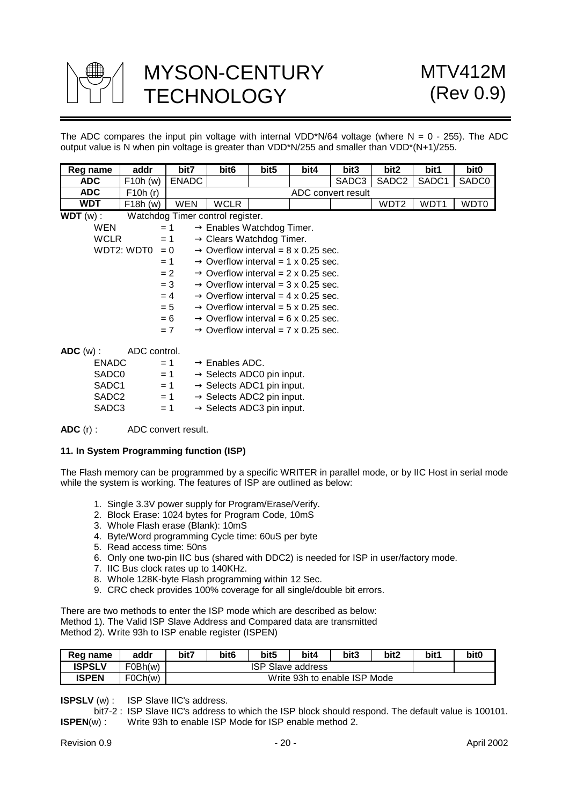

The ADC compares the input pin voltage with internal VDD\*N/64 voltage (where  $N = 0 - 255$ ). The ADC output value is N when pin voltage is greater than VDD\*N/255 and smaller than VDD\*(N+1)/255.

| Reg name          | addr         | bit7                             | bit <sub>6</sub>                      | bit5 | bit4                                            | bit3               | bit2              | bit1              | bit <sub>0</sub>  |
|-------------------|--------------|----------------------------------|---------------------------------------|------|-------------------------------------------------|--------------------|-------------------|-------------------|-------------------|
| <b>ADC</b>        | F10h (w)     | <b>ENADC</b>                     |                                       |      |                                                 | SADC3              | SADC <sub>2</sub> | SADC <sub>1</sub> | SADC <sub>0</sub> |
| <b>ADC</b>        | F10h(r)      |                                  |                                       |      |                                                 | ADC convert result |                   |                   |                   |
| <b>WDT</b>        | F18h(w)      | <b>WEN</b>                       | <b>WCLR</b>                           |      |                                                 |                    | WDT <sub>2</sub>  | WDT1              | WDT0              |
| $WDT(w)$ :        |              | Watchdog Timer control register. |                                       |      |                                                 |                    |                   |                   |                   |
| <b>WEN</b>        |              | $= 1$                            | $\rightarrow$ Enables Watchdog Timer. |      |                                                 |                    |                   |                   |                   |
| <b>WCLR</b>       |              | $= 1$                            | $\rightarrow$ Clears Watchdog Timer.  |      |                                                 |                    |                   |                   |                   |
|                   | WDT2: WDT0   | $= 0$                            |                                       |      | $\rightarrow$ Overflow interval = 8 x 0.25 sec. |                    |                   |                   |                   |
|                   |              | $= 1$                            |                                       |      | $\rightarrow$ Overflow interval = 1 x 0.25 sec. |                    |                   |                   |                   |
|                   |              | $= 2$                            |                                       |      | $\rightarrow$ Overflow interval = 2 x 0.25 sec. |                    |                   |                   |                   |
|                   |              | $= 3$                            |                                       |      | $\rightarrow$ Overflow interval = 3 x 0.25 sec. |                    |                   |                   |                   |
|                   |              | $=4$                             |                                       |      | $\rightarrow$ Overflow interval = 4 x 0.25 sec. |                    |                   |                   |                   |
|                   |              | $= 5$                            |                                       |      | $\rightarrow$ Overflow interval = 5 x 0.25 sec. |                    |                   |                   |                   |
|                   |              | $= 6$                            |                                       |      | $\rightarrow$ Overflow interval = 6 x 0.25 sec. |                    |                   |                   |                   |
|                   |              | $= 7$                            |                                       |      | $\rightarrow$ Overflow interval = 7 x 0.25 sec. |                    |                   |                   |                   |
| $ADC(w)$ :        | ADC control. |                                  |                                       |      |                                                 |                    |                   |                   |                   |
| <b>ENADC</b>      |              | $= 1$                            | $\rightarrow$ Enables ADC.            |      |                                                 |                    |                   |                   |                   |
| SADC <sub>0</sub> |              | $= 1$                            | $\rightarrow$ Selects ADC0 pin input. |      |                                                 |                    |                   |                   |                   |
| SADC <sub>1</sub> |              | $= 1$                            | $\rightarrow$ Selects ADC1 pin input. |      |                                                 |                    |                   |                   |                   |
| SADC <sub>2</sub> |              | $= 1$                            | $\rightarrow$ Selects ADC2 pin input. |      |                                                 |                    |                   |                   |                   |
| SADC <sub>3</sub> |              | $= 1$                            | $\rightarrow$ Selects ADC3 pin input. |      |                                                 |                    |                   |                   |                   |

**ADC** (r) : ADC convert result.

#### **11. In System Programming function (ISP)**

The Flash memory can be programmed by a specific WRITER in parallel mode, or by IIC Host in serial mode while the system is working. The features of ISP are outlined as below:

- 1. Single 3.3V power supply for Program/Erase/Verify.
- 2. Block Erase: 1024 bytes for Program Code, 10mS
- 3. Whole Flash erase (Blank): 10mS
- 4. Byte/Word programming Cycle time: 60uS per byte
- 5. Read access time: 50ns
- 6. Only one two-pin IIC bus (shared with DDC2) is needed for ISP in user/factory mode.
- 7. IIC Bus clock rates up to 140KHz.
- 8. Whole 128K-byte Flash programming within 12 Sec.
- 9. CRC check provides 100% coverage for all single/double bit errors.

There are two methods to enter the ISP mode which are described as below: Method 1). The Valid ISP Slave Address and Compared data are transmitted Method 2). Write 93h to ISP enable register (ISPEN)

| Reg name      | addr    | bit7 | bit6                     | bit <sub>5</sub> | bit4                         | bit3 | bit2 | bit <sup>1</sup> | bit <sub>0</sub> |
|---------------|---------|------|--------------------------|------------------|------------------------------|------|------|------------------|------------------|
| <b>ISPSLV</b> | F0Bh(w) |      | <b>ISP Slave address</b> |                  |                              |      |      |                  |                  |
| ISPEN         | FOCh(w) |      |                          |                  | Write 93h to enable ISP Mode |      |      |                  |                  |

**ISPSLV** (w) : ISP Slave IIC's address.

 bit7-2 : ISP Slave IIC's address to which the ISP block should respond. The default value is 100101. **ISPEN**(w) : Write 93h to enable ISP Mode for ISP enable method 2.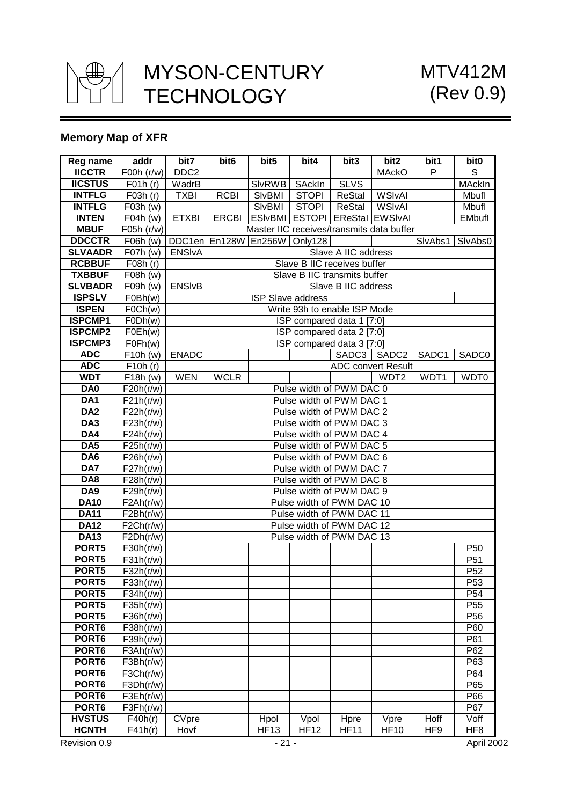

## **Memory Map of XFR**

| Reg name          | addr                                                       | bit7             | bit <sub>6</sub> | bit5                               | $\overline{bit4}$        | bit3                         | bit2                                      | bit1    | bit <sub>0</sub>  |
|-------------------|------------------------------------------------------------|------------------|------------------|------------------------------------|--------------------------|------------------------------|-------------------------------------------|---------|-------------------|
| <b>IICCTR</b>     | F00h(r/w)                                                  | DDC <sub>2</sub> |                  |                                    |                          |                              | <b>MAckO</b>                              | P       | S                 |
| <b>IICSTUS</b>    | $\overline{F}$ 01h $(r)$                                   | WadrB            |                  | SI <sub>vRWB</sub>                 | SAckIn                   | <b>SLVS</b>                  |                                           |         | MAckIn            |
| <b>INTFLG</b>     | $\overline{F03}h(r)$                                       | <b>TXBI</b>      | <b>RCBI</b>      | SIvBMI                             | <b>STOPI</b>             | ReStal                       | <b>WSIvAI</b>                             |         | Mbufl             |
| <b>INTFLG</b>     | $\overline{F03h}$ (w)                                      |                  |                  | SIvBMI                             | <b>STOPI</b>             | ReStal                       | <b>WSIvAI</b>                             |         | Mbufl             |
| <b>INTEN</b>      | $F04h$ (w)                                                 | <b>ETXBI</b>     | <b>ERCBI</b>     |                                    |                          |                              | ESIvBMI ESTOPI EReStal EWSIvAI            |         | EMbufl            |
| <b>MBUF</b>       | F05h (r/w)                                                 |                  |                  |                                    |                          |                              | Master IIC receives/transmits data buffer |         |                   |
| <b>DDCCTR</b>     | F06h (w)                                                   |                  |                  | DDC1en   En128W   En256W   Only128 |                          |                              |                                           | SlvAbs1 | SlvAbs0           |
| <b>SLVAADR</b>    | F07h(w)                                                    | <b>ENSIVA</b>    |                  |                                    |                          | Slave A IIC address          |                                           |         |                   |
| <b>RCBBUF</b>     | F08h (r)                                                   |                  |                  |                                    |                          | Slave B IIC receives buffer  |                                           |         |                   |
| <b>TXBBUF</b>     | F08h (w)                                                   |                  |                  |                                    |                          | Slave B IIC transmits buffer |                                           |         |                   |
| <b>SLVBADR</b>    | F09h (w)                                                   | <b>ENSIVB</b>    |                  |                                    |                          | Slave B IIC address          |                                           |         |                   |
| <b>ISPSLV</b>     | FOBh(w)                                                    |                  |                  |                                    | <b>ISP Slave address</b> |                              |                                           |         |                   |
| <b>ISPEN</b>      | FOCh(w)                                                    |                  |                  |                                    |                          | Write 93h to enable ISP Mode |                                           |         |                   |
| <b>ISPCMP1</b>    | FODh(w)                                                    |                  |                  |                                    |                          | ISP compared data 1 [7:0]    |                                           |         |                   |
| <b>ISPCMP2</b>    | FOEh(w)                                                    |                  |                  |                                    |                          | ISP compared data 2 [7:0]    |                                           |         |                   |
| <b>ISPCMP3</b>    | F0Fh(w)                                                    |                  |                  |                                    |                          | ISP compared data 3 [7:0]    |                                           |         |                   |
| <b>ADC</b>        | F10h (w)                                                   | <b>ENADC</b>     |                  |                                    |                          | SADC3                        | SADC <sub>2</sub>                         | SADC1   | SADC <sub>0</sub> |
| <b>ADC</b>        | $\overline{F}$ 10h $(r)$                                   |                  |                  |                                    |                          |                              | <b>ADC convert Result</b>                 |         |                   |
| <b>WDT</b>        | $\overline{F18h}$ (w)                                      | <b>WEN</b>       | <b>WCLR</b>      |                                    |                          |                              | WDT <sub>2</sub>                          | WDT1    | WDT0              |
| DA <sub>0</sub>   | F20h(r/w)                                                  |                  |                  |                                    |                          | Pulse width of PWM DAC 0     |                                           |         |                   |
| DA <sub>1</sub>   | F21h(r/w)                                                  |                  |                  |                                    |                          | Pulse width of PWM DAC 1     |                                           |         |                   |
| DA <sub>2</sub>   | F22h(r/w)                                                  |                  |                  |                                    |                          | Pulse width of PWM DAC 2     |                                           |         |                   |
| DA <sub>3</sub>   | F23h(r/w)                                                  |                  |                  |                                    |                          | Pulse width of PWM DAC 3     |                                           |         |                   |
| DA4               | F24h(r/w)                                                  |                  |                  |                                    |                          | Pulse width of PWM DAC 4     |                                           |         |                   |
| DA5               | $\overline{F2}5h(r/w)$                                     |                  |                  |                                    |                          | Pulse width of PWM DAC 5     |                                           |         |                   |
| DA6               | F26h(r/w)                                                  |                  |                  |                                    |                          | Pulse width of PWM DAC 6     |                                           |         |                   |
| DA7               | F27h(r/w)                                                  |                  |                  |                                    |                          | Pulse width of PWM DAC 7     |                                           |         |                   |
| DA8               | $\overline{F28h(r/w)}$                                     |                  |                  |                                    |                          | Pulse width of PWM DAC 8     |                                           |         |                   |
| DA <sub>9</sub>   | F29h(r/w)                                                  |                  |                  |                                    |                          | Pulse width of PWM DAC 9     |                                           |         |                   |
| <b>DA10</b>       | F2Ah(r/w)                                                  |                  |                  |                                    |                          | Pulse width of PWM DAC 10    |                                           |         |                   |
| <b>DA11</b>       | $\overline{F2Bh}$ (r/w)                                    |                  |                  |                                    |                          | Pulse width of PWM DAC 11    |                                           |         |                   |
| <b>DA12</b>       | F2Ch(r/w)                                                  |                  |                  |                                    |                          | Pulse width of PWM DAC 12    |                                           |         |                   |
| <b>DA13</b>       | F2Dh(r/w)                                                  |                  |                  |                                    |                          | Pulse width of PWM DAC 13    |                                           |         |                   |
| PORT5             | F30h(r/w)                                                  |                  |                  |                                    |                          |                              |                                           |         | P <sub>50</sub>   |
| PORT5             | F31h(r/w)                                                  |                  |                  |                                    |                          |                              |                                           |         | P <sub>51</sub>   |
| PORT5             | F32h(r/w)                                                  |                  |                  |                                    |                          |                              |                                           |         | P <sub>52</sub>   |
| PORT5             | $\overline{F33h(r/w)}$                                     |                  |                  |                                    |                          |                              |                                           |         | P53               |
| PORT5             | F34h(r/w)                                                  |                  |                  |                                    |                          |                              |                                           |         | P <sub>54</sub>   |
| PORT5             | $\overline{F35h}$ (r/w)                                    |                  |                  |                                    |                          |                              |                                           |         | P <sub>55</sub>   |
| PORT5             | F36h(r/w)                                                  |                  |                  |                                    |                          |                              |                                           |         | P <sub>56</sub>   |
| PORT6             | F38h(r/w)                                                  |                  |                  |                                    |                          |                              |                                           |         | P60               |
| PORT <sub>6</sub> | F39h(r/w)                                                  |                  |                  |                                    |                          |                              |                                           |         | P61               |
| PORT6             | F3Ah(r/w)                                                  |                  |                  |                                    |                          |                              |                                           |         | P62               |
| PORT <sub>6</sub> | F3Bh(r/w)                                                  |                  |                  |                                    |                          |                              |                                           |         | P63               |
| PORT <sub>6</sub> | F3Ch(r/w)                                                  |                  |                  |                                    |                          |                              |                                           |         | P64               |
| PORT6             | F3Dh(r/w)                                                  |                  |                  |                                    |                          |                              |                                           |         | P65               |
| PORT6             | $\overline{\mathsf{F3}}\mathsf{Eh}(\mathsf{r}/\mathsf{w})$ |                  |                  |                                    |                          |                              |                                           |         | P66               |
| PORT6             | F3Fh(r/w)                                                  |                  |                  |                                    |                          |                              |                                           |         | P67               |
| <b>HVSTUS</b>     | F40h(r)                                                    | CVpre            |                  | Hpol                               | Vpol                     | <b>Hpre</b>                  | Vpre                                      | Hoff    | Voff              |
| <b>HCNTH</b>      | F41h(r)                                                    | Hovf             |                  | <b>HF13</b>                        | <b>HF12</b>              | <b>HF11</b>                  | <b>HF10</b>                               | HF9     | HF <sub>8</sub>   |
|                   |                                                            |                  |                  |                                    |                          |                              |                                           |         |                   |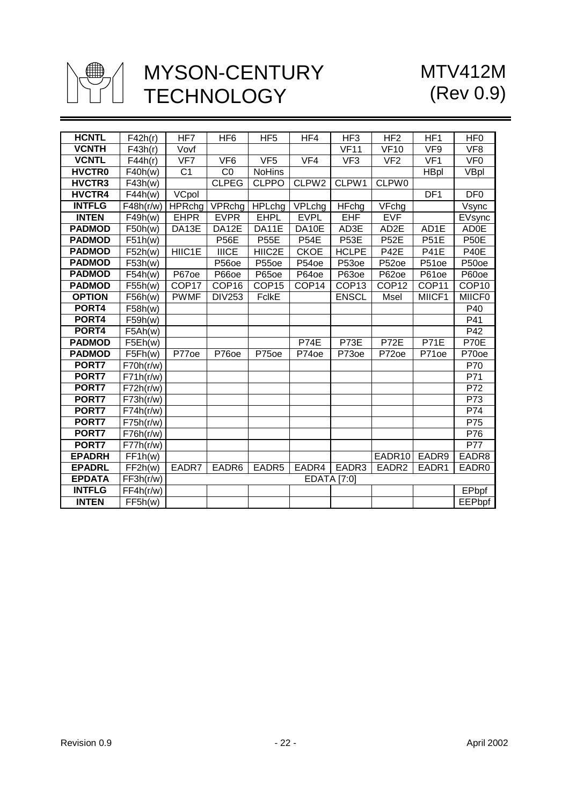

# MTV412M (Rev 0.9)

| <b>HCNTL</b>  | F42h(r)               | HF7               | HF <sub>6</sub>    | HF <sub>5</sub>   | HF4               | HF <sub>3</sub>     | HF <sub>2</sub>     | HF <sub>1</sub>   | HF <sub>0</sub>   |
|---------------|-----------------------|-------------------|--------------------|-------------------|-------------------|---------------------|---------------------|-------------------|-------------------|
| <b>VCNTH</b>  | F43h(r)               | Vovf              |                    |                   |                   | VF11                | $V$ F <sub>10</sub> | VF9               | VF8               |
| <b>VCNTL</b>  | F44h(r)               | V <sub>F7</sub>   | VF <sub>6</sub>    | VF <sub>5</sub>   | VFA               | VF <sub>3</sub>     | VF2                 | VF1               | VF <sub>0</sub>   |
| <b>HVCTRO</b> | $\overline{F}$ 40h(w) | C <sub>1</sub>    |                    | <b>NoHins</b>     |                   |                     |                     |                   |                   |
| <b>HVCTR3</b> |                       |                   | CO<br><b>CLPEG</b> | <b>CLPPO</b>      | CLPW <sub>2</sub> | CLPW1               | CLPW0               | <b>HBpl</b>       | VBpl              |
| <b>HVCTR4</b> | F43h(w)               |                   |                    |                   |                   |                     |                     | DF1               | DF <sub>0</sub>   |
|               | $\overline{F44}h(w)$  | VCpol             |                    |                   |                   |                     |                     |                   |                   |
| <b>INTFLG</b> | F48h(r/w)             | <b>HPRchg</b>     | VPRchg             | <b>HPLchg</b>     | VPLchg            | $\overline{HF}$ chg | VFchg               |                   | Vsync             |
| <b>INTEN</b>  | F49h(w)               | <b>EHPR</b>       | <b>EVPR</b>        | <b>EHPL</b>       | <b>EVPL</b>       | EHF                 | <b>EVF</b>          |                   | EVsync            |
| <b>PADMOD</b> | F50h(w)               | DA13E             | DA12E              | DA11E             | DA10E             | AD3E                | AD2E                | AD1E              | <b>AD0E</b>       |
| <b>PADMOD</b> | F51h(w)               |                   | <b>P56E</b>        | <b>P55E</b>       | <b>P54E</b>       | <b>P53E</b>         | <b>P52E</b>         | <b>P51E</b>       | <b>P50E</b>       |
| <b>PADMOD</b> | F52h(w)               | HIIC1E            | <b>IIICE</b>       | HIIC2E            | <b>CKOE</b>       | <b>HCLPE</b>        | <b>P42E</b>         | $\overline{P41E}$ | <b>P40E</b>       |
| <b>PADMOD</b> | F53h(w)               |                   | P56oe              | P55oe             | P54oe             | P53oe               | P52oe               | P51oe             | P50oe             |
| <b>PADMOD</b> | F54h(w)               | P67oe             | P66oe              | P65oe             | P64oe             | P63oe               | P62oe               | P61oe             | P60oe             |
| <b>PADMOD</b> | F55h(w)               | COP <sub>17</sub> | COP <sub>16</sub>  | COP <sub>15</sub> | COP14             | COP <sub>13</sub>   | COP <sub>12</sub>   | COP11             | COP <sub>10</sub> |
| <b>OPTION</b> | F56h(w)               | <b>PWMF</b>       | <b>DIV253</b>      | <b>FclkE</b>      |                   | <b>ENSCL</b>        | Msel                | MIICF1            | <b>MIICF0</b>     |
| PORT4         | F58h(w)               |                   |                    |                   |                   |                     |                     |                   | P40               |
| PORT4         | F59h(w)               |                   |                    |                   |                   |                     |                     |                   | P41               |
| PORT4         | F5Ah(w)               |                   |                    |                   |                   |                     |                     |                   | $\overline{P42}$  |
| <b>PADMOD</b> | F5Eh(w)               |                   |                    |                   | <b>P74E</b>       | P73E                | <b>P72E</b>         | <b>P71E</b>       | P70E              |
| <b>PADMOD</b> | F5Fh(w)               | P77oe             | P76oe              | P75oe             | P74oe             | P73oe               | P72oe               | P71oe             | P70oe             |
| PORT7         | F70h(r/w)             |                   |                    |                   |                   |                     |                     |                   | P70               |
| PORT7         | F71h(r/w)             |                   |                    |                   |                   |                     |                     |                   | P71               |
| PORT7         | F72h(r/w)             |                   |                    |                   |                   |                     |                     |                   | $\overline{P72}$  |
| PORT7         | F73h(r/w)             |                   |                    |                   |                   |                     |                     |                   | P73               |
| PORT7         | F74h(r/w)             |                   |                    |                   |                   |                     |                     |                   | P74               |
| PORT7         | F75h(r/w)             |                   |                    |                   |                   |                     |                     |                   | P75               |
| PORT7         | F76h(r/w)             |                   |                    |                   |                   |                     |                     |                   | $\overline{P76}$  |
| PORT7         | F77h(r/w)             |                   |                    |                   |                   |                     |                     |                   | P77               |
| <b>EPADRH</b> | FF1h(w)               |                   |                    |                   |                   |                     | EADR10              | EADR9             | EADR8             |
| <b>EPADRL</b> | FF2h(w)               | EADR7             | EADR6              | EADR <sub>5</sub> | EADR4             | EADR3               | EADR <sub>2</sub>   | EADR1             | EADR0             |
| <b>EPDATA</b> | FF3h(r/w)             |                   |                    |                   |                   | <b>EDATA [7:0]</b>  |                     |                   |                   |
| <b>INTFLG</b> | FF4h(r/w)             |                   |                    |                   |                   |                     |                     |                   | <b>EPbpf</b>      |
| <b>INTEN</b>  | FF5h(w)               |                   |                    |                   |                   |                     |                     |                   | EEPbpf            |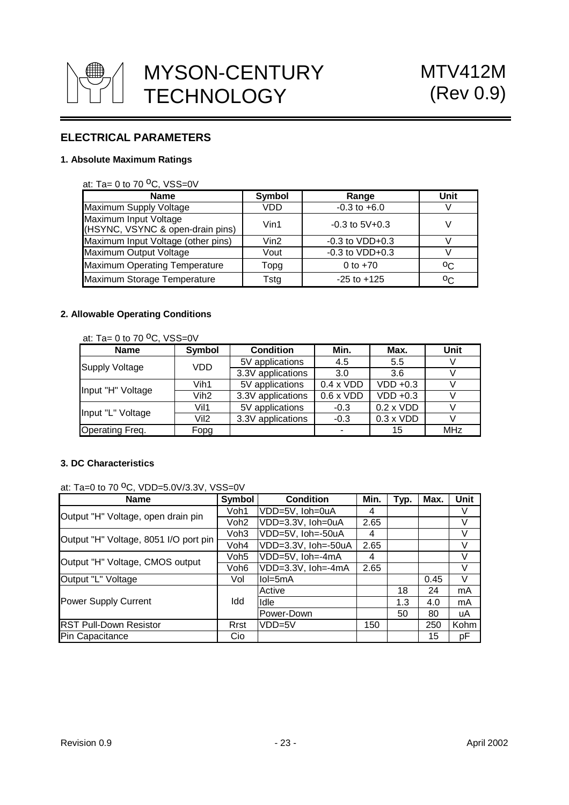

# **ELECTRICAL PARAMETERS**

## **1. Absolute Maximum Ratings**

#### at: Ta=  $0$  to  $70$  <sup>o</sup>C, VSS=0V

| <b>Name</b>                                               | Symbol     | Range               | Unit |
|-----------------------------------------------------------|------------|---------------------|------|
| Maximum Supply Voltage                                    | VDD        | $-0.3$ to $+6.0$    |      |
| Maximum Input Voltage<br>(HSYNC, VSYNC & open-drain pins) | Vin1       | $-0.3$ to $5V+0.3$  |      |
| Maximum Input Voltage (other pins)                        | $V$ in $2$ | $-0.3$ to $VDD+0.3$ |      |
| Maximum Output Voltage                                    | Vout       | $-0.3$ to $VDD+0.3$ |      |
| Maximum Operating Temperature                             | Topg       | 0 to $+70$          | oC.  |
| Maximum Storage Temperature                               | Tstg       | $-25$ to $+125$     | oc.  |

## **2. Allowable Operating Conditions**

at: Ta=  $0$  to  $70$  <sup>o</sup>C, VSS=0V

| <b>Name</b>            | Symbol           | <b>Condition</b>  | Min.             | Max.             | Unit       |
|------------------------|------------------|-------------------|------------------|------------------|------------|
| <b>Supply Voltage</b>  | VDD              | 5V applications   | 4.5              | 5.5              |            |
|                        |                  | 3.3V applications | 3.0              | 3.6              |            |
| Input "H" Voltage      | Vih1             | 5V applications   | $0.4 \times VDD$ | VDD +0.3         |            |
|                        | Vih <sub>2</sub> | 3.3V applications | $0.6 \times VDD$ | $VDD +0.3$       |            |
| Input "L" Voltage      | Vil1             | 5V applications   | $-0.3$           | $0.2 \times VDD$ |            |
|                        | Vil <sub>2</sub> | 3.3V applications | $-0.3$           | $0.3 \times VDD$ |            |
| <b>Operating Freq.</b> | Fopg             |                   |                  | 15               | <b>MHz</b> |

## **3. DC Characteristics**

at: Ta=0 to 70  $^{\circ}$ C, VDD=5.0V/3.3V, VSS=0V

| Name                                  | Symbol           | <b>Condition</b>    | Min. | Typ. | Max. | <b>Unit</b> |
|---------------------------------------|------------------|---------------------|------|------|------|-------------|
| Output "H" Voltage, open drain pin    | Voh1             | VDD=5V, Ioh=0uA     | 4    |      |      | V           |
|                                       | Voh <sub>2</sub> | VDD=3.3V, Ioh=0uA   | 2.65 |      |      | V           |
| Output "H" Voltage, 8051 I/O port pin | Voh <sub>3</sub> | VDD=5V, Ioh=-50uA   | 4    |      |      | V           |
|                                       | Voh4             | VDD=3.3V, Ioh=-50uA | 2.65 |      |      | V           |
|                                       | Voh <sub>5</sub> | VDD=5V, Ioh=-4mA    | 4    |      |      | V           |
| Output "H" Voltage, CMOS output       | Voh6             | VDD=3.3V, Ioh=-4mA  | 2.65 |      |      | V           |
| Output "L" Voltage                    | Vol              | llol=5mA            |      |      | 0.45 | $\vee$      |
|                                       | Idd              | Active              |      | 18   | 24   | mA          |
| Power Supply Current                  |                  | Idle                |      | 1.3  | 4.0  | mA          |
|                                       |                  | Power-Down          |      | 50   | 80   | uA          |
| <b>RST Pull-Down Resistor</b>         | Rrst             | $VDD=5V$            | 150  |      | 250  | Kohm        |
| Pin Capacitance                       | Cio.             |                     |      |      | 15   | рF          |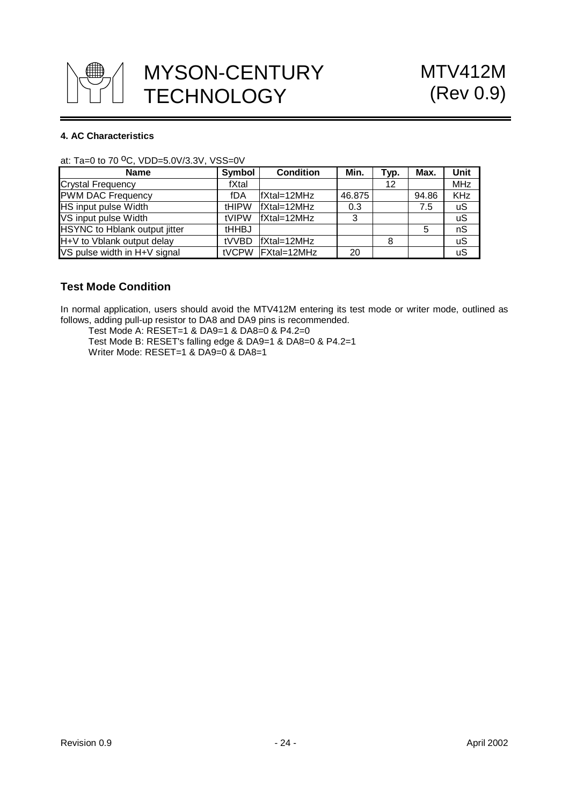

## **4. AC Characteristics**

| <b>Name</b>                   | Symbol       | <b>Condition</b>        | Min.   | Typ. | Max.  | Unit       |
|-------------------------------|--------------|-------------------------|--------|------|-------|------------|
| <b>Crystal Frequency</b>      | fXtal        |                         |        | 12   |       | <b>MHz</b> |
| <b>PWM DAC Frequency</b>      | fDA          | fXtal=12MHz             | 46.875 |      | 94.86 | <b>KHz</b> |
| <b>HS</b> input pulse Width   | <b>tHIPW</b> | $\textsf{fX}$ tal=12MHz | 0.3    |      | 7.5   | uS         |
| VS input pulse Width          | tVIPW        | $\textsf{fX}$ tal=12MHz | 3      |      |       | uS         |
| HSYNC to Hblank output jitter | <b>tHHBJ</b> |                         |        |      | 5     | nS         |
| H+V to Vblank output delay    | tVVBD        | $\textsf{fX}$ tal=12MHz |        | 8    |       | uS         |
| VS pulse width in H+V signal  | <b>tVCPW</b> | FXtal=12MHz             | 20     |      |       | uS         |

# **Test Mode Condition**

In normal application, users should avoid the MTV412M entering its test mode or writer mode, outlined as follows, adding pull-up resistor to DA8 and DA9 pins is recommended.

Test Mode A: RESET=1 & DA9=1 & DA8=0 & P4.2=0 Test Mode B: RESET's falling edge & DA9=1 & DA8=0 & P4.2=1 Writer Mode: RESET=1 & DA9=0 & DA8=1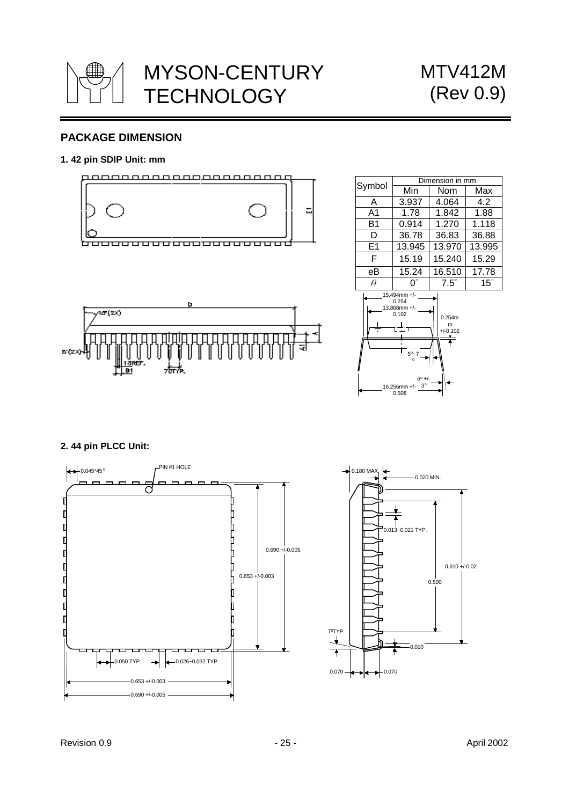

# **PACKAGE DIMENSION**

### **1. 42 pin SDIP Unit: mm**



п

र्गलौ.



0.508

### **2. 44 pin PLCC Unit:**

п

| || ||<br><u>|1а</u>вет. HŮ

**6'(2X)-**